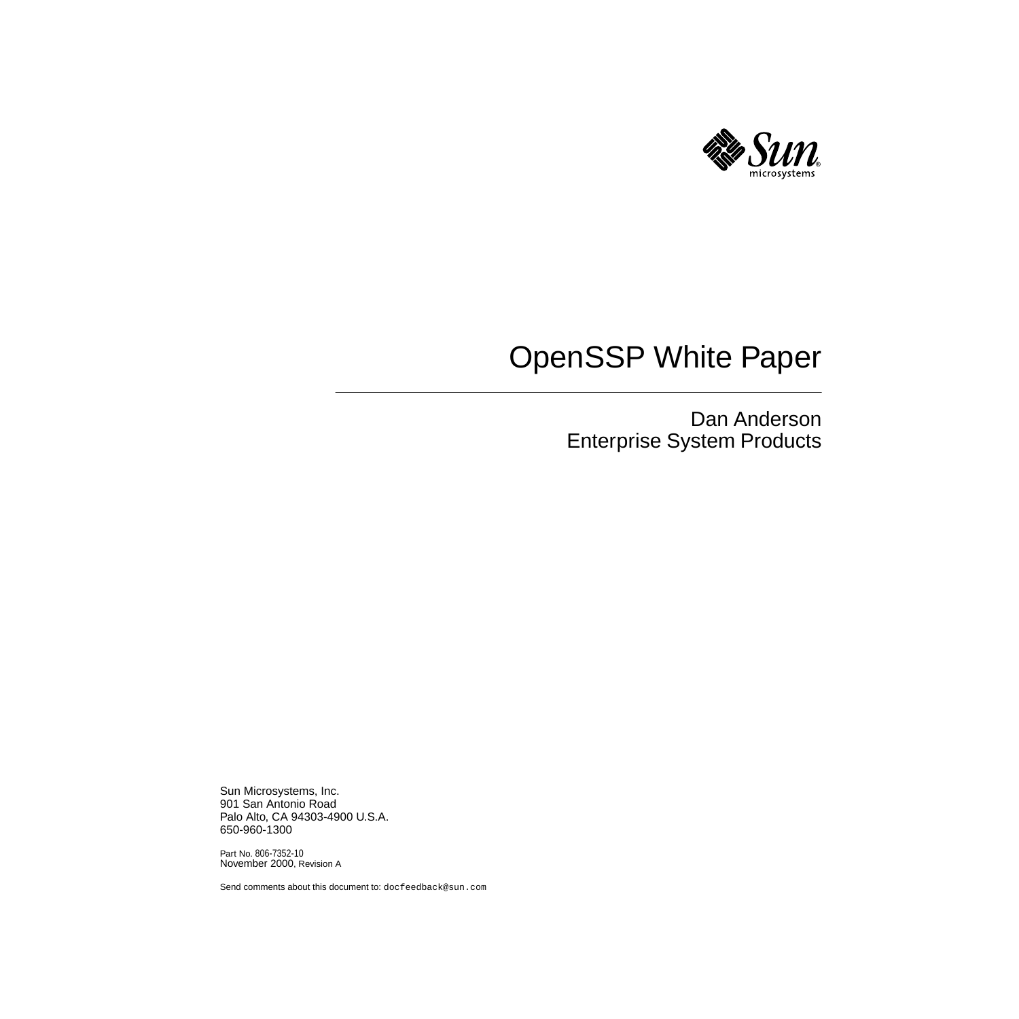

# OpenSSP White Paper

#### Dan Anderson Enterprise System Products

Sun Microsystems, Inc. 901 San Antonio Road Palo Alto, CA 94303-4900 U.S.A. 650-960-1300

Part No. 806-7352-10 November 2000, Revision A

Send comments about this document to: docfeedback@sun.com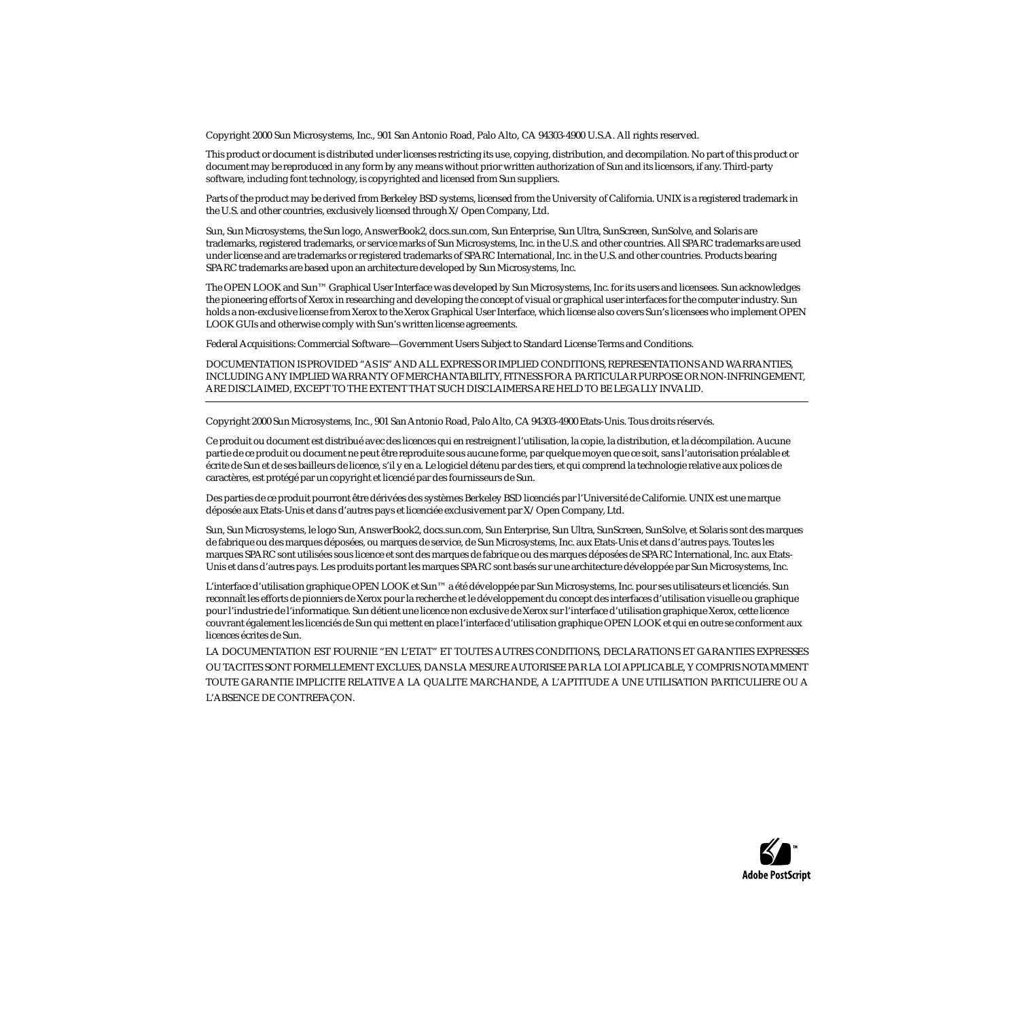Copyright 2000 Sun Microsystems, Inc., 901 San Antonio Road, Palo Alto, CA 94303-4900 U.S.A. All rights reserved.

This product or document is distributed under licenses restricting its use, copying, distribution, and decompilation. No part of this product or document may be reproduced in any form by any means without prior written authorization of Sun and its licensors, if any. Third-party software, including font technology, is copyrighted and licensed from Sun suppliers.

Parts of the product may be derived from Berkeley BSD systems, licensed from the University of California. UNIX is a registered trademark in the U.S. and other countries, exclusively licensed through X/Open Company, Ltd.

Sun, Sun Microsystems, the Sun logo, AnswerBook2, docs.sun.com, Sun Enterprise, Sun Ultra, SunScreen, SunSolve, and Solaris are trademarks, registered trademarks, or service marks of Sun Microsystems, Inc. in the U.S. and other countries. All SPARC trademarks are used under license and are trademarks or registered trademarks of SPARC International, Inc. in the U.S. and other countries. Products bearing SPARC trademarks are based upon an architecture developed by Sun Microsystems, Inc.

The OPEN LOOK and Sun™ Graphical User Interface was developed by Sun Microsystems, Inc. for its users and licensees. Sun acknowledges the pioneering efforts of Xerox in researching and developing the concept of visual or graphical user interfaces for the computer industry. Sun holds a non-exclusive license from Xerox to the Xerox Graphical User Interface, which license also covers Sun's licensees who implement OPEN LOOK GUIs and otherwise comply with Sun's written license agreements.

Federal Acquisitions: Commercial Software—Government Users Subject to Standard License Terms and Conditions.

DOCUMENTATION IS PROVIDED "AS IS" AND ALL EXPRESS OR IMPLIED CONDITIONS, REPRESENTATIONS AND WARRANTIES, INCLUDING ANY IMPLIED WARRANTY OF MERCHANTABILITY, FITNESS FOR A PARTICULAR PURPOSE OR NON-INFRINGEMENT, ARE DISCLAIMED, EXCEPT TO THE EXTENT THAT SUCH DISCLAIMERS ARE HELD TO BE LEGALLY INVALID.

Copyright 2000 Sun Microsystems, Inc., 901 San Antonio Road, Palo Alto, CA 94303-4900 Etats-Unis. Tous droits réservés.

Ce produit ou document est distribué avec des licences qui en restreignent l'utilisation, la copie, la distribution, et la décompilation. Aucune partie de ce produit ou document ne peut être reproduite sous aucune forme, par quelque moyen que ce soit, sans l'autorisation préalable et écrite de Sun et de ses bailleurs de licence, s'il y en a. Le logiciel détenu par des tiers, et qui comprend la technologie relative aux polices de caractères, est protégé par un copyright et licencié par des fournisseurs de Sun.

Des parties de ce produit pourront être dérivées des systèmes Berkeley BSD licenciés par l'Université de Californie. UNIX est une marque déposée aux Etats-Unis et dans d'autres pays et licenciée exclusivement par X/Open Company, Ltd.

Sun, Sun Microsystems, le logo Sun, AnswerBook2, docs.sun.com, Sun Enterprise, Sun Ultra, SunScreen, SunSolve, et Solaris sont des marques de fabrique ou des marques déposées, ou marques de service, de Sun Microsystems, Inc. aux Etats-Unis et dans d'autres pays. Toutes les marques SPARC sont utilisées sous licence et sont des marques de fabrique ou des marques déposées de SPARC International, Inc. aux Etats-Unis et dans d'autres pays. Les produits portant les marques SPARC sont basés sur une architecture développée par Sun Microsystems, Inc.

L'interface d'utilisation graphique OPEN LOOK et Sun™ a été développée par Sun Microsystems, Inc. pour ses utilisateurs et licenciés. Sun reconnaît les efforts de pionniers de Xerox pour la recherche et le développement du concept des interfaces d'utilisation visuelle ou graphique pour l'industrie de l'informatique. Sun détient une licence non exclusive de Xerox sur l'interface d'utilisation graphique Xerox, cette licence couvrant également les licenciés de Sun qui mettent en place l'interface d'utilisation graphique OPEN LOOK et qui en outre se conforment aux licences écrites de Sun.

LA DOCUMENTATION EST FOURNIE "EN L'ETAT" ET TOUTES AUTRES CONDITIONS, DECLARATIONS ET GARANTIES EXPRESSES OU TACITES SONT FORMELLEMENT EXCLUES, DANS LA MESURE AUTORISEE PAR LA LOI APPLICABLE, Y COMPRIS NOTAMMENT TOUTE GARANTIE IMPLICITE RELATIVE A LA QUALITE MARCHANDE, A L'APTITUDE A UNE UTILISATION PARTICULIERE OU A L'ABSENCE DE CONTREFAÇON.

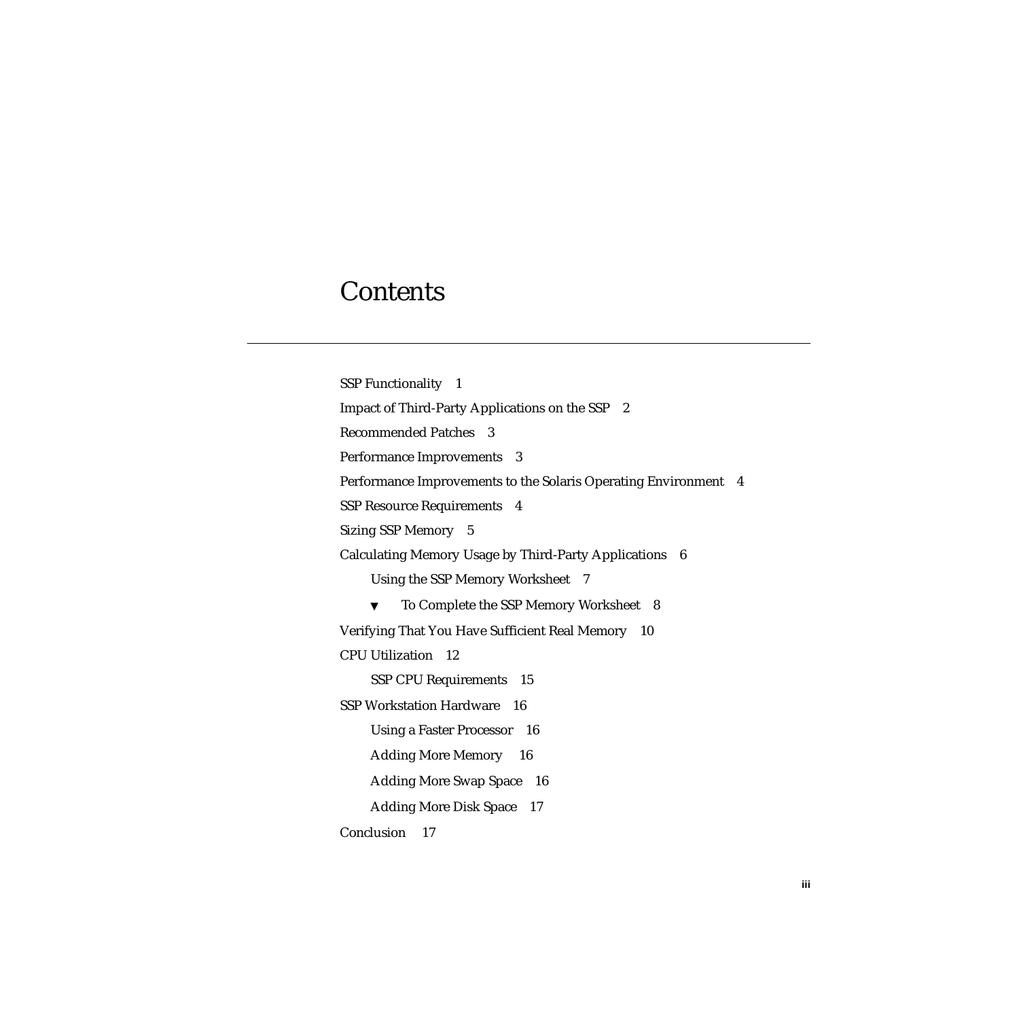### **Contents**

[SSP Functionality 1](#page-4-0) [Impact of Third-Party Applications on the SSP 2](#page-5-0) [Recommended Patches 3](#page-6-0) [Performance Improvements](#page-6-1) 3 [Performance Improvements to the Solaris Operating Environment](#page-7-0) 4 [SSP Resource Requirements](#page-7-1) 4 [Sizing SSP Memory 5](#page-8-0) [Calculating Memory Usage by Third-Party Applications](#page-9-0) 6 [Using the SSP Memory Worksheet 7](#page-10-0) ▼ [To Complete the SSP Memory Worksheet](#page-11-0) 8 [Verifying That You Have Sufficient Real Memory](#page-13-0) 10 [CPU Utilization](#page-15-0) 12 [SSP CPU Requirements](#page-18-0) 15 [SSP Workstation Hardware](#page-19-0) 16 [Using a Faster Processor](#page-19-1) 16 [Adding More Memory](#page-19-2) 16 [Adding More Swap Space 1](#page-19-3)6 [Adding More Disk Space 1](#page-20-0)7 [Conclusion 1](#page-20-1)7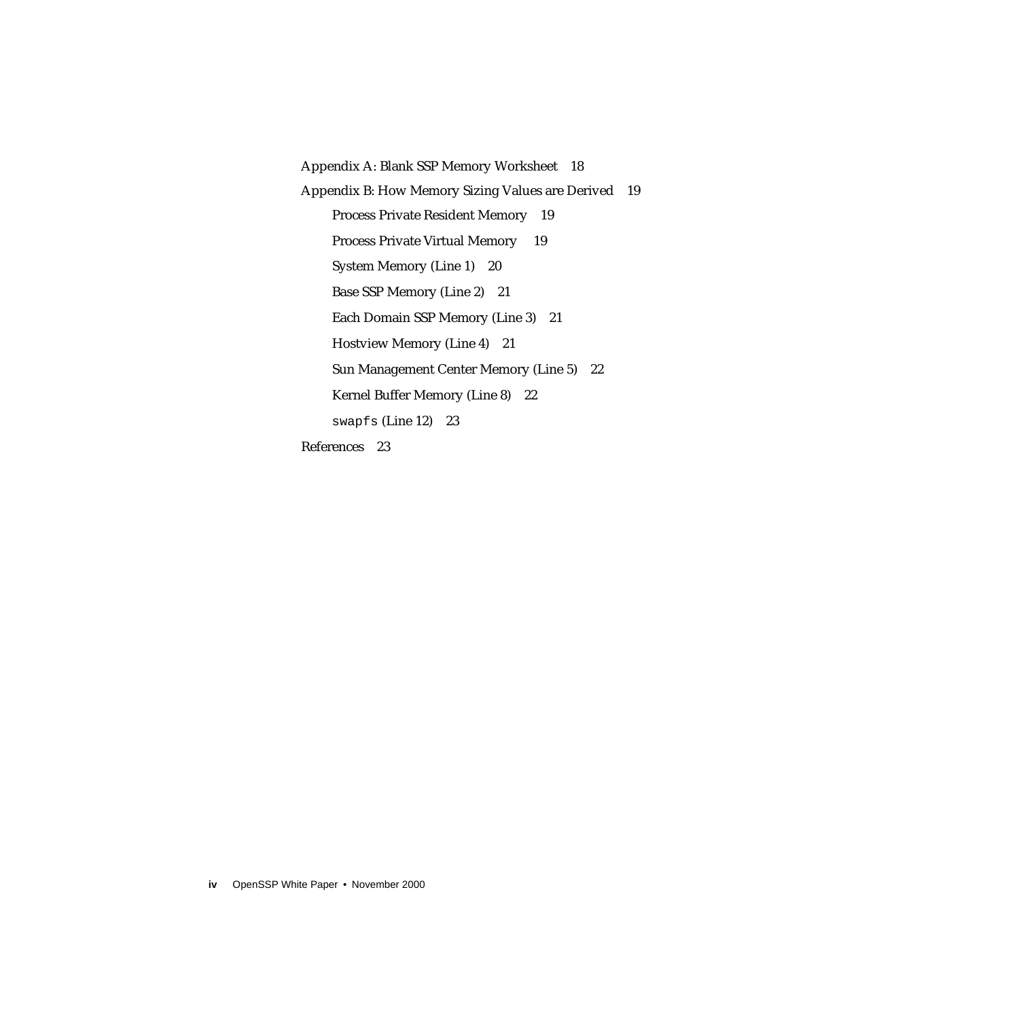[Appendix A: Blank SSP Memory Worksheet](#page-21-0) 18

[Appendix B: How Memory Sizing Values are Derived](#page-22-0) 19

[Process Private Resident Memory 1](#page-22-1)9

[Process Private Virtual Memory 1](#page-22-2)9

[System Memory \(Line 1\)](#page-23-0) 20

[Base SSP Memory \(Line 2\) 2](#page-24-0)1

[Each Domain SSP Memory \(Line 3\) 2](#page-24-1)1

[Hostview Memory \(Line 4\)](#page-24-2) 21

[Sun Management Center Memory \(Line 5\) 2](#page-25-0)2

[Kernel Buffer Memory \(Line 8\)](#page-25-1) 22

[swapfs](#page-26-0) (Line 12) 23

[References 2](#page-26-1)3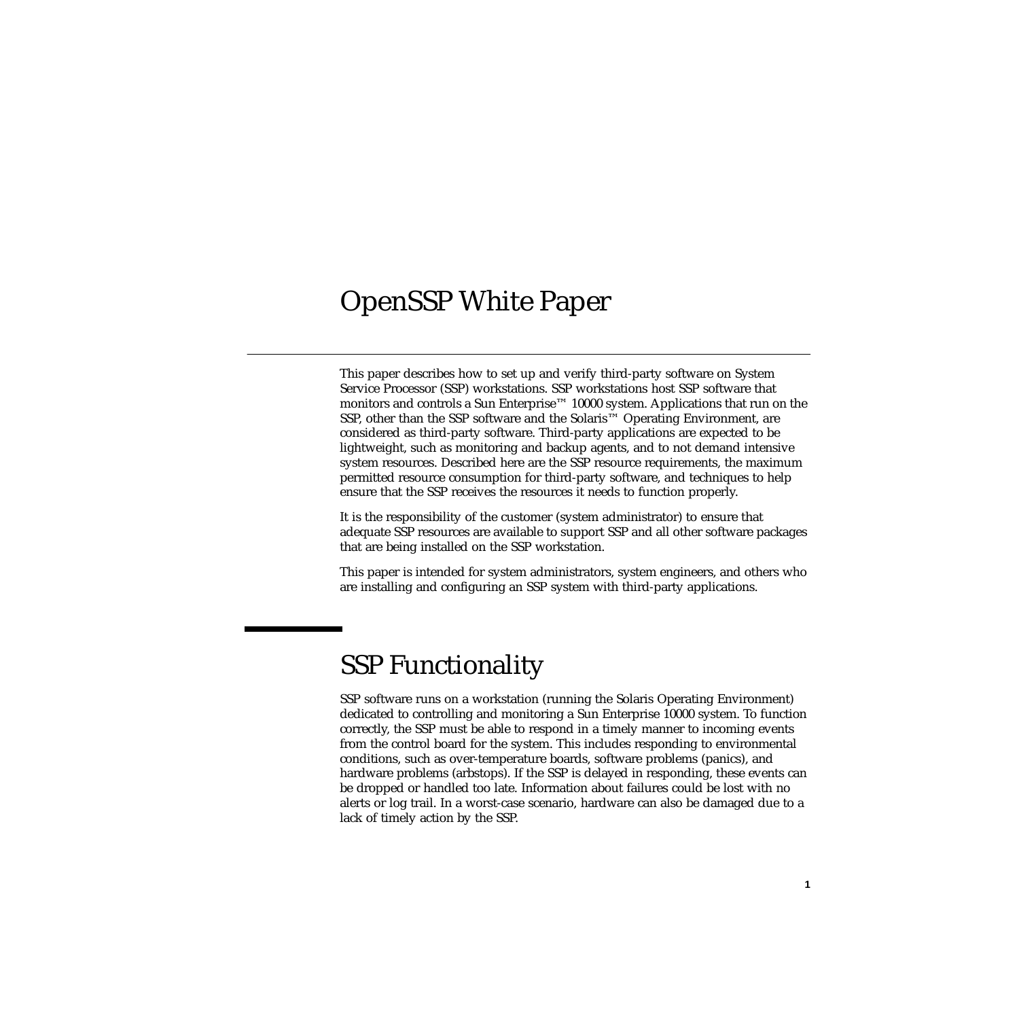## OpenSSP White Paper

This paper describes how to set up and verify third-party software on System Service Processor (SSP) workstations. SSP workstations host SSP software that monitors and controls a Sun Enterprise™ 10000 system. Applications that run on the SSP, other than the SSP software and the Solaris™ Operating Environment, are considered as third-party software. Third-party applications are expected to be lightweight, such as monitoring and backup agents, and to not demand intensive system resources. Described here are the SSP resource requirements, the maximum permitted resource consumption for third-party software, and techniques to help ensure that the SSP receives the resources it needs to function properly.

It is the responsibility of the customer (system administrator) to ensure that adequate SSP resources are available to support SSP and all other software packages that are being installed on the SSP workstation.

This paper is intended for system administrators, system engineers, and others who are installing and configuring an SSP system with third-party applications.

## <span id="page-4-0"></span>SSP Functionality

SSP software runs on a workstation (running the Solaris Operating Environment) dedicated to controlling and monitoring a Sun Enterprise 10000 system. To function correctly, the SSP must be able to respond in a timely manner to incoming events from the control board for the system. This includes responding to environmental conditions, such as over-temperature boards, software problems (panics), and hardware problems (arbstops). If the SSP is delayed in responding, these events can be dropped or handled too late. Information about failures could be lost with no alerts or log trail. In a worst-case scenario, hardware can also be damaged due to a lack of timely action by the SSP.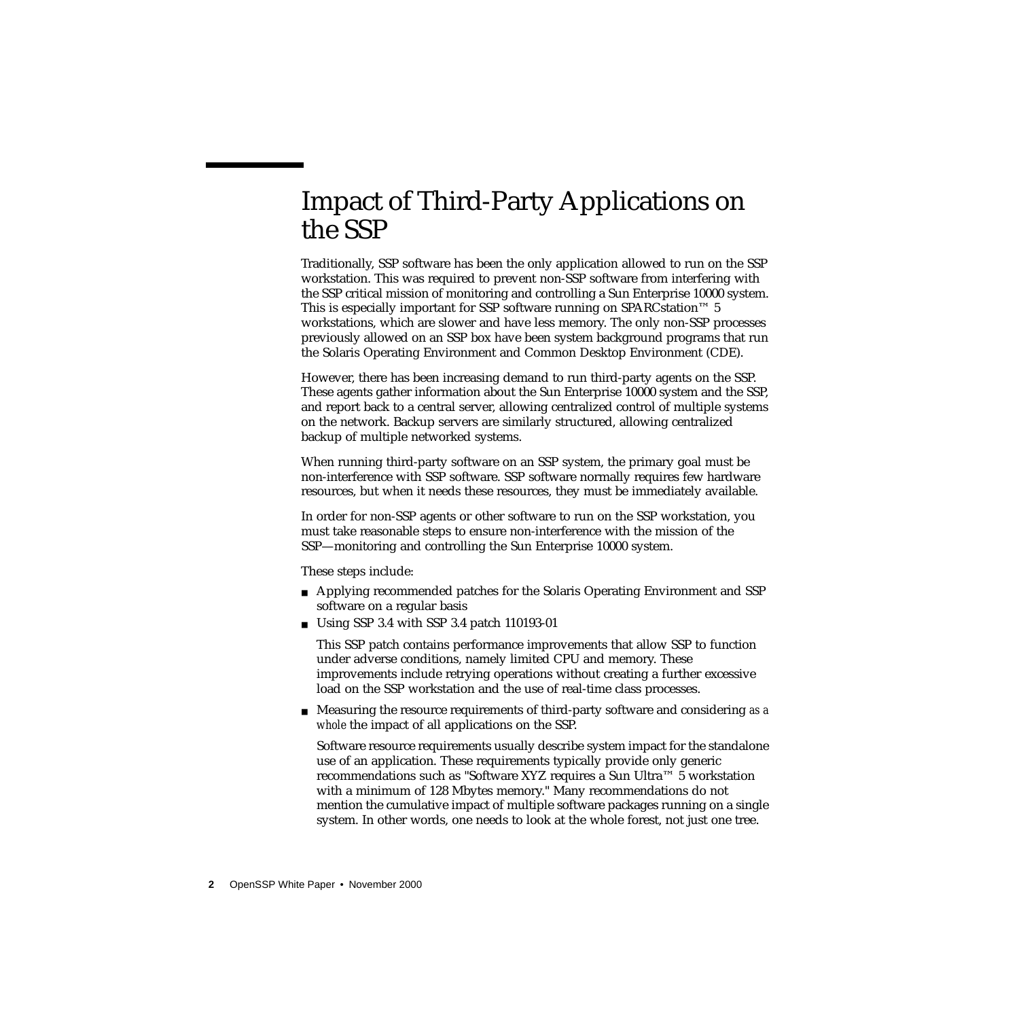## <span id="page-5-0"></span>Impact of Third-Party Applications on the SSP

Traditionally, SSP software has been the only application allowed to run on the SSP workstation. This was required to prevent non-SSP software from interfering with the SSP critical mission of monitoring and controlling a Sun Enterprise 10000 system. This is especially important for SSP software running on SPARCstation™ 5 workstations, which are slower and have less memory. The only non-SSP processes previously allowed on an SSP box have been system background programs that run the Solaris Operating Environment and Common Desktop Environment (CDE).

However, there has been increasing demand to run third-party agents on the SSP. These agents gather information about the Sun Enterprise 10000 system and the SSP, and report back to a central server, allowing centralized control of multiple systems on the network. Backup servers are similarly structured, allowing centralized backup of multiple networked systems.

When running third-party software on an SSP system, the primary goal must be non-interference with SSP software. SSP software normally requires few hardware resources, but when it needs these resources, they must be immediately available.

In order for non-SSP agents or other software to run on the SSP workstation, you must take reasonable steps to ensure non-interference with the mission of the SSP—monitoring and controlling the Sun Enterprise 10000 system.

These steps include:

- Applying recommended patches for the Solaris Operating Environment and SSP software on a regular basis
- Using SSP 3.4 with SSP 3.4 patch 110193-01

This SSP patch contains performance improvements that allow SSP to function under adverse conditions, namely limited CPU and memory. These improvements include retrying operations without creating a further excessive load on the SSP workstation and the use of real-time class processes.

■ Measuring the resource requirements of third-party software and considering *as a whole* the impact of all applications on the SSP.

Software resource requirements usually describe system impact for the standalone use of an application. These requirements typically provide only generic recommendations such as "Software XYZ requires a Sun Ultra™ 5 workstation with a minimum of 128 Mbytes memory." Many recommendations do not mention the cumulative impact of multiple software packages running on a single system. In other words, one needs to look at the whole forest, not just one tree.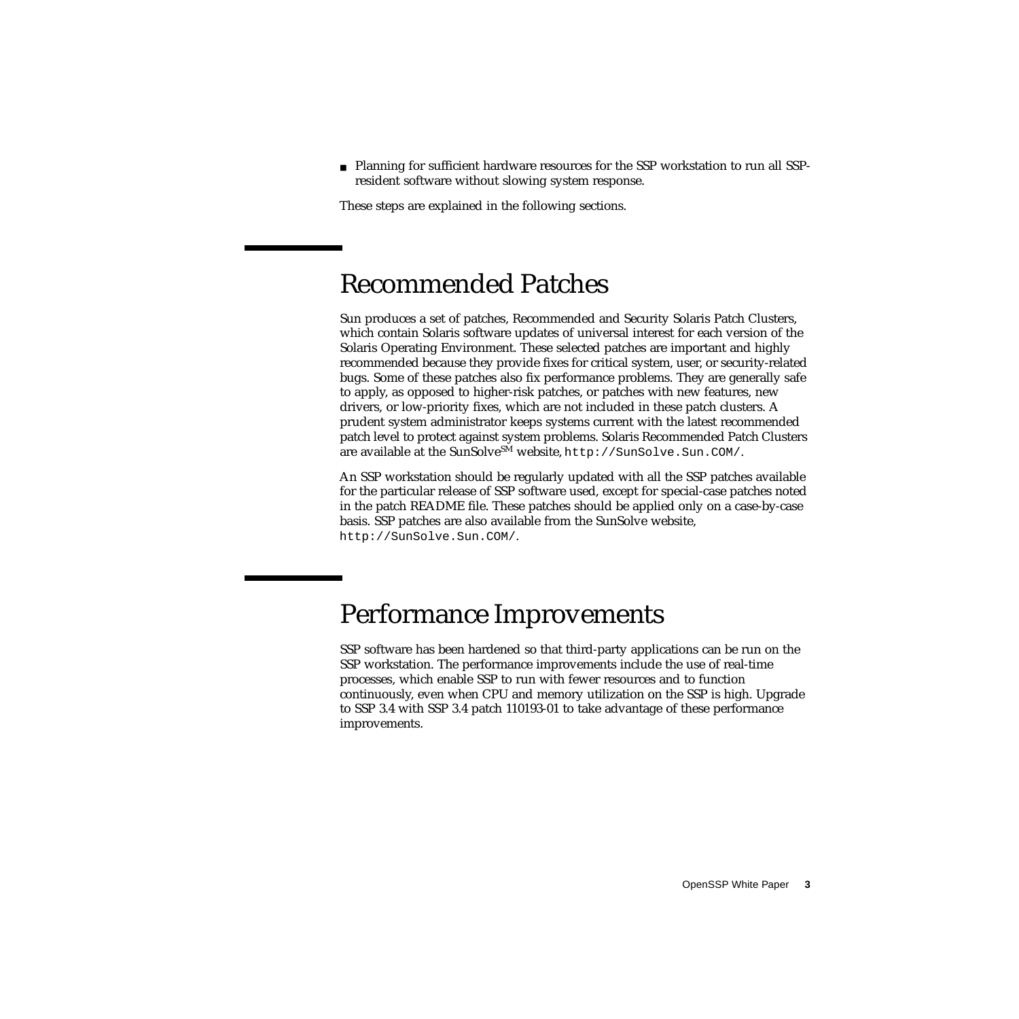■ Planning for sufficient hardware resources for the SSP workstation to run all SSPresident software without slowing system response.

These steps are explained in the following sections.

## <span id="page-6-0"></span>Recommended Patches

Sun produces a set of patches, Recommended and Security Solaris Patch Clusters, which contain Solaris software updates of universal interest for each version of the Solaris Operating Environment. These selected patches are important and highly recommended because they provide fixes for critical system, user, or security-related bugs. Some of these patches also fix performance problems. They are generally safe to apply, as opposed to higher-risk patches, or patches with new features, new drivers, or low-priority fixes, which are not included in these patch clusters. A prudent system administrator keeps systems current with the latest recommended patch level to protect against system problems. Solaris Recommended Patch Clusters are available at the SunSolve<sup>SM</sup> website, http://SunSolve.Sun.COM/.

An SSP workstation should be regularly updated with all the SSP patches available for the particular release of SSP software used, except for special-case patches noted in the patch README file. These patches should be applied only on a case-by-case basis. SSP patches are also available from the SunSolve website, http://SunSolve.Sun.COM/.

## <span id="page-6-1"></span>Performance Improvements

SSP software has been hardened so that third-party applications can be run on the SSP workstation. The performance improvements include the use of real-time processes, which enable SSP to run with fewer resources and to function continuously, even when CPU and memory utilization on the SSP is high. Upgrade to SSP 3.4 with SSP 3.4 patch 110193-01 to take advantage of these performance improvements.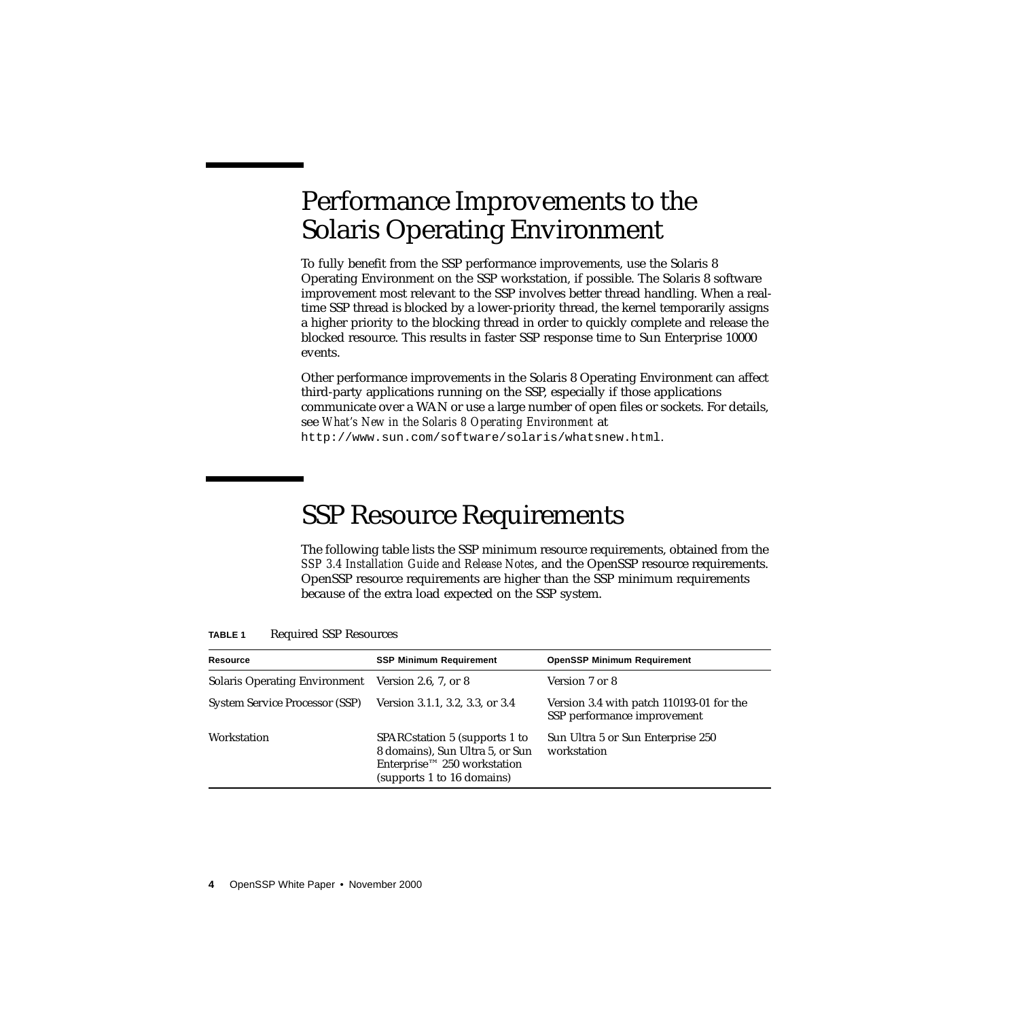## <span id="page-7-0"></span>Performance Improvements to the Solaris Operating Environment

To fully benefit from the SSP performance improvements, use the Solaris 8 Operating Environment on the SSP workstation, if possible. The Solaris 8 software improvement most relevant to the SSP involves better thread handling. When a realtime SSP thread is blocked by a lower-priority thread, the kernel temporarily assigns a higher priority to the blocking thread in order to quickly complete and release the blocked resource. This results in faster SSP response time to Sun Enterprise 10000 events.

Other performance improvements in the Solaris 8 Operating Environment can affect third-party applications running on the SSP, especially if those applications communicate over a WAN or use a large number of open files or sockets. For details, see *What's New in the Solaris 8 Operating Environment* at http://www.sun.com/software/solaris/whatsnew.html.

## <span id="page-7-1"></span>SSP Resource Requirements

The following table lists the SSP minimum resource requirements, obtained from the *SSP 3.4 Installation Guide and Release Notes*, and the OpenSSP resource requirements. OpenSSP resource requirements are higher than the SSP minimum requirements because of the extra load expected on the SSP system.

| Resource                              | <b>SSP Minimum Requirement</b>                                                                                                 | <b>OpenSSP Minimum Requirement</b>                                      |
|---------------------------------------|--------------------------------------------------------------------------------------------------------------------------------|-------------------------------------------------------------------------|
| <b>Solaris Operating Environment</b>  | Version 2.6, 7, or 8                                                                                                           | Version 7 or 8                                                          |
| <b>System Service Processor (SSP)</b> | Version 3.1.1, 3.2, 3.3, or 3.4                                                                                                | Version 3.4 with patch 110193-01 for the<br>SSP performance improvement |
| Workstation                           | SPARC station 5 (supports 1 to<br>8 domains), Sun Ultra 5, or Sun<br>Enterprise™ 250 workstation<br>(supports 1 to 16 domains) | Sun Ultra 5 or Sun Enterprise 250<br>workstation                        |

#### **TABLE 1** Required SSP Resources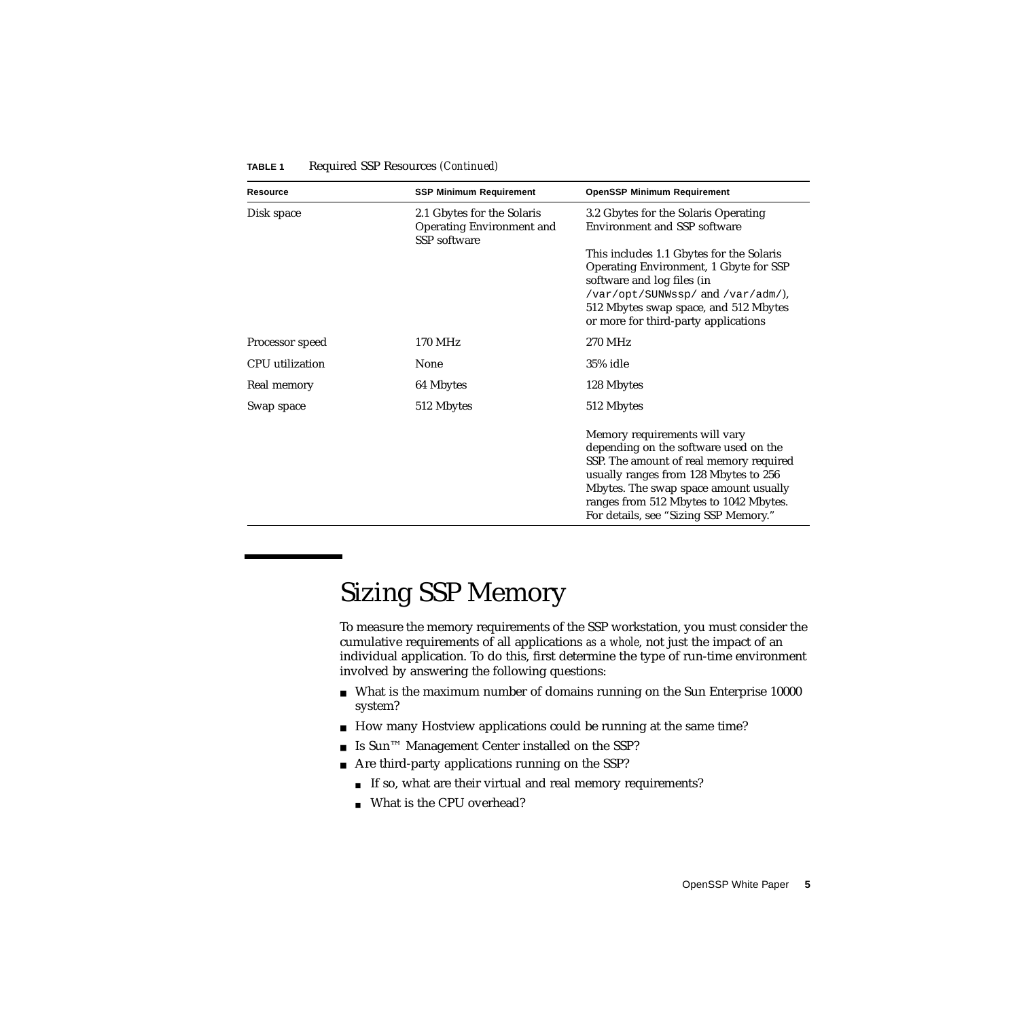| <b>Resource</b>        | <b>SSP Minimum Requirement</b>                                                 | <b>OpenSSP Minimum Requirement</b>                                                                                                                                                                                                                                                     |
|------------------------|--------------------------------------------------------------------------------|----------------------------------------------------------------------------------------------------------------------------------------------------------------------------------------------------------------------------------------------------------------------------------------|
| Disk space             | 2.1 Gbytes for the Solaris<br><b>Operating Environment and</b><br>SSP software | 3.2 Gbytes for the Solaris Operating<br><b>Environment and SSP software</b>                                                                                                                                                                                                            |
|                        |                                                                                | This includes 1.1 Gbytes for the Solaris<br>Operating Environment, 1 Gbyte for SSP<br>software and log files (in<br>/var/opt/SUNWssp/and/var/adm/),<br>512 Mbytes swap space, and 512 Mbytes<br>or more for third-party applications                                                   |
| Processor speed        | 170 MHz                                                                        | 270 MHz                                                                                                                                                                                                                                                                                |
| <b>CPU</b> utilization | None                                                                           | 35% idle                                                                                                                                                                                                                                                                               |
| Real memory            | 64 Mbytes                                                                      | 128 Mbytes                                                                                                                                                                                                                                                                             |
| Swap space             | 512 Mbytes                                                                     | 512 Mbytes                                                                                                                                                                                                                                                                             |
|                        |                                                                                | Memory requirements will vary<br>depending on the software used on the<br>SSP. The amount of real memory required<br>usually ranges from 128 Mbytes to 256<br>Mbytes. The swap space amount usually<br>ranges from 512 Mbytes to 1042 Mbytes.<br>For details, see "Sizing SSP Memory." |

#### **TABLE 1** Required SSP Resources *(Continued)*

## <span id="page-8-0"></span>Sizing SSP Memory

To measure the memory requirements of the SSP workstation, you must consider the cumulative requirements of all applications *as a whole*, not just the impact of an individual application. To do this, first determine the type of run-time environment involved by answering the following questions:

- What is the maximum number of domains running on the Sun Enterprise 10000 system?
- How many Hostview applications could be running at the same time?
- Is Sun™ Management Center installed on the SSP?
- Are third-party applications running on the SSP?
	- If so, what are their virtual and real memory requirements?
	- What is the CPU overhead?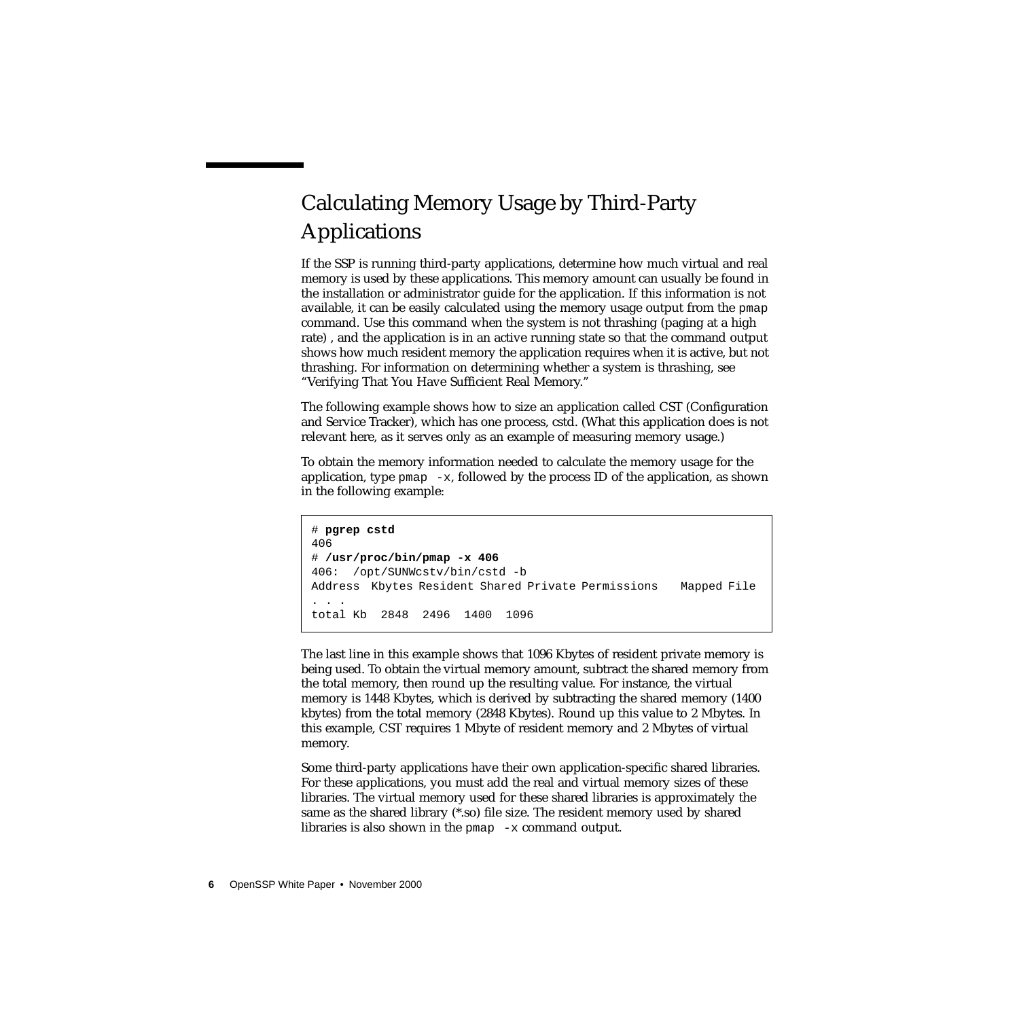## <span id="page-9-0"></span>Calculating Memory Usage by Third-Party Applications

If the SSP is running third-party applications, determine how much virtual and real memory is used by these applications. This memory amount can usually be found in the installation or administrator guide for the application. If this information is not available, it can be easily calculated using the memory usage output from the pmap command. Use this command when the system is not thrashing (paging at a high rate) , and the application is in an active running state so that the command output shows how much resident memory the application requires when it is active, but not thrashing. For information on determining whether a system is thrashing, see "Verifying That You Have Sufficient Real Memory."

The following example shows how to size an application called CST (Configuration and Service Tracker), which has one process, cstd. (What this application does is not relevant here, as it serves only as an example of measuring memory usage.)

To obtain the memory information needed to calculate the memory usage for the application, type  $p_{\text{map}} -x$ , followed by the process ID of the application, as shown in the following example:

```
# pgrep cstd
406
# /usr/proc/bin/pmap -x 406
406: /opt/SUNWcstv/bin/cstd -b
Address Kbytes Resident Shared Private Permissions Mapped File
. . .
total Kb 2848 2496 1400 1096
```
The last line in this example shows that 1096 Kbytes of resident private memory is being used. To obtain the virtual memory amount, subtract the shared memory from the total memory, then round up the resulting value. For instance, the virtual memory is 1448 Kbytes, which is derived by subtracting the shared memory (1400 kbytes) from the total memory (2848 Kbytes). Round up this value to 2 Mbytes. In this example, CST requires 1 Mbyte of resident memory and 2 Mbytes of virtual memory.

Some third-party applications have their own application-specific shared libraries. For these applications, you must add the real and virtual memory sizes of these libraries. The virtual memory used for these shared libraries is approximately the same as the shared library (\*.so) file size. The resident memory used by shared libraries is also shown in the  $pmap -x$  command output.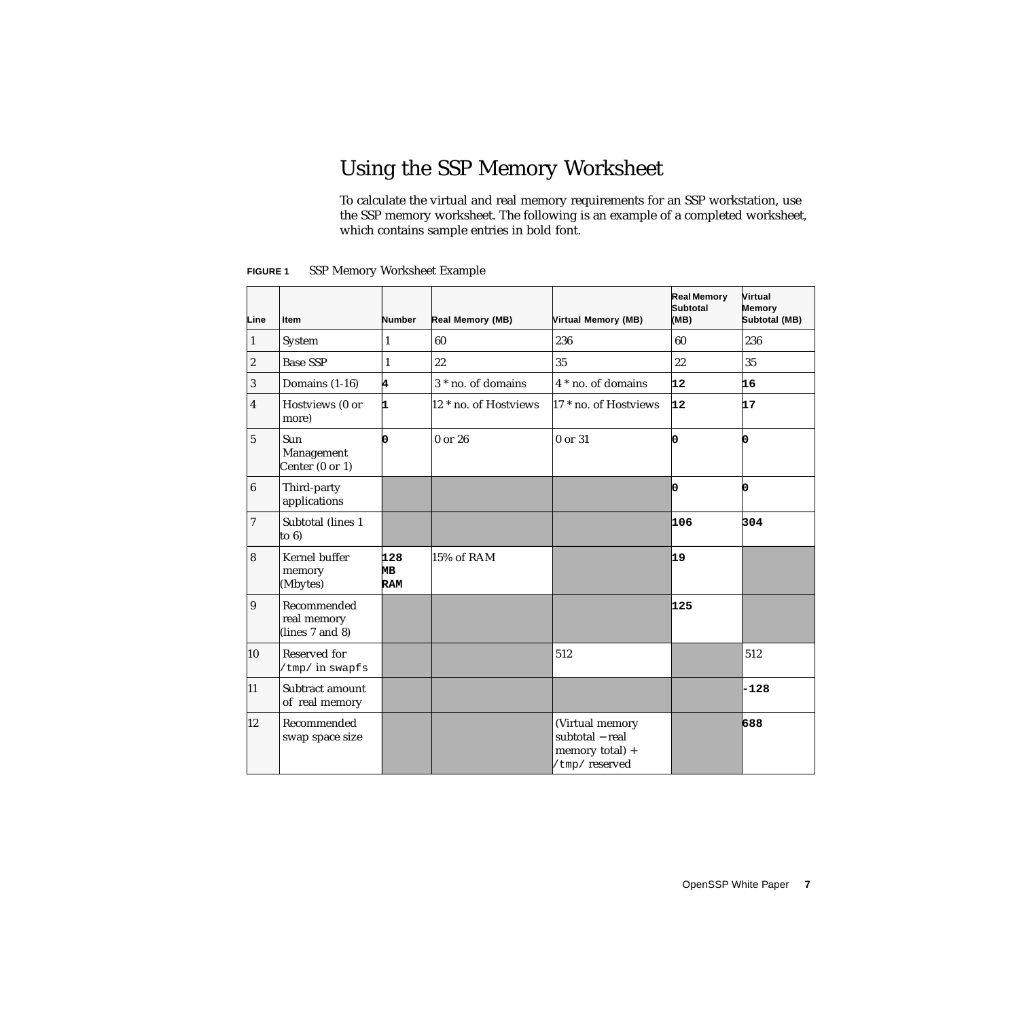### <span id="page-10-0"></span>Using the SSP Memory Worksheet

To calculate the virtual and real memory requirements for an SSP workstation, use the SSP memory worksheet. The following is an example of a completed worksheet, which contains sample entries in bold font.

| <b>FIGURE 1</b> | SSP Memory Worksheet Example |  |  |  |
|-----------------|------------------------------|--|--|--|
|-----------------|------------------------------|--|--|--|

| Line             | Item                                          | <b>Number</b>    | Real Memory (MB)      | <b>Virtual Memory (MB)</b>                                             | <b>Real Memory</b><br>Subtotal<br>(MB) | Virtual<br>Memory<br>Subtotal (MB) |
|------------------|-----------------------------------------------|------------------|-----------------------|------------------------------------------------------------------------|----------------------------------------|------------------------------------|
| $\mathbf{1}$     | System                                        | 1                | 60                    | 236                                                                    | 60                                     | 236                                |
| $\sqrt{2}$       | <b>Base SSP</b>                               | 1                | 22                    | 35                                                                     | 22                                     | 35                                 |
| $\sqrt{3}$       | Domains (1-16)                                | 4                | 3 * no. of domains    | 4 * no. of domains                                                     | 12                                     | 16                                 |
| $\overline{4}$   | Hostviews (0 or<br>more)                      | ı.               | 12 * no. of Hostviews | 17 <sup>*</sup> no. of Hostviews                                       | $ 12\rangle$                           | 17                                 |
| $\overline{5}$   | Sun<br>Management<br>Center (0 or 1)          | lo.              | $0$ or $26$           | 0 or 31                                                                | lo.                                    | O                                  |
| 6                | Third-party<br>applications                   |                  |                       |                                                                        | lo.                                    | O                                  |
| $\overline{7}$   | Subtotal (lines 1<br>to 6)                    |                  |                       |                                                                        | 106                                    | 304                                |
| $\boldsymbol{8}$ | Kernel buffer<br>memory<br>(Mbytes)           | 128<br>MВ<br>RAM | 15% of RAM            |                                                                        | 19                                     |                                    |
| $\overline{9}$   | Recommended<br>real memory<br>(lines 7 and 8) |                  |                       |                                                                        | 125                                    |                                    |
| $ 10\rangle$     | Reserved for<br>/tmp/ in swapfs               |                  |                       | 512                                                                    |                                        | 512                                |
| $ 11\rangle$     | Subtract amount<br>of real memory             |                  |                       |                                                                        |                                        | $-128$                             |
| $ 12\rangle$     | Recommended<br>swap space size                |                  |                       | (Virtual memory<br>subtotal - real<br>memory total) +<br>/tmp/reserved |                                        | 688                                |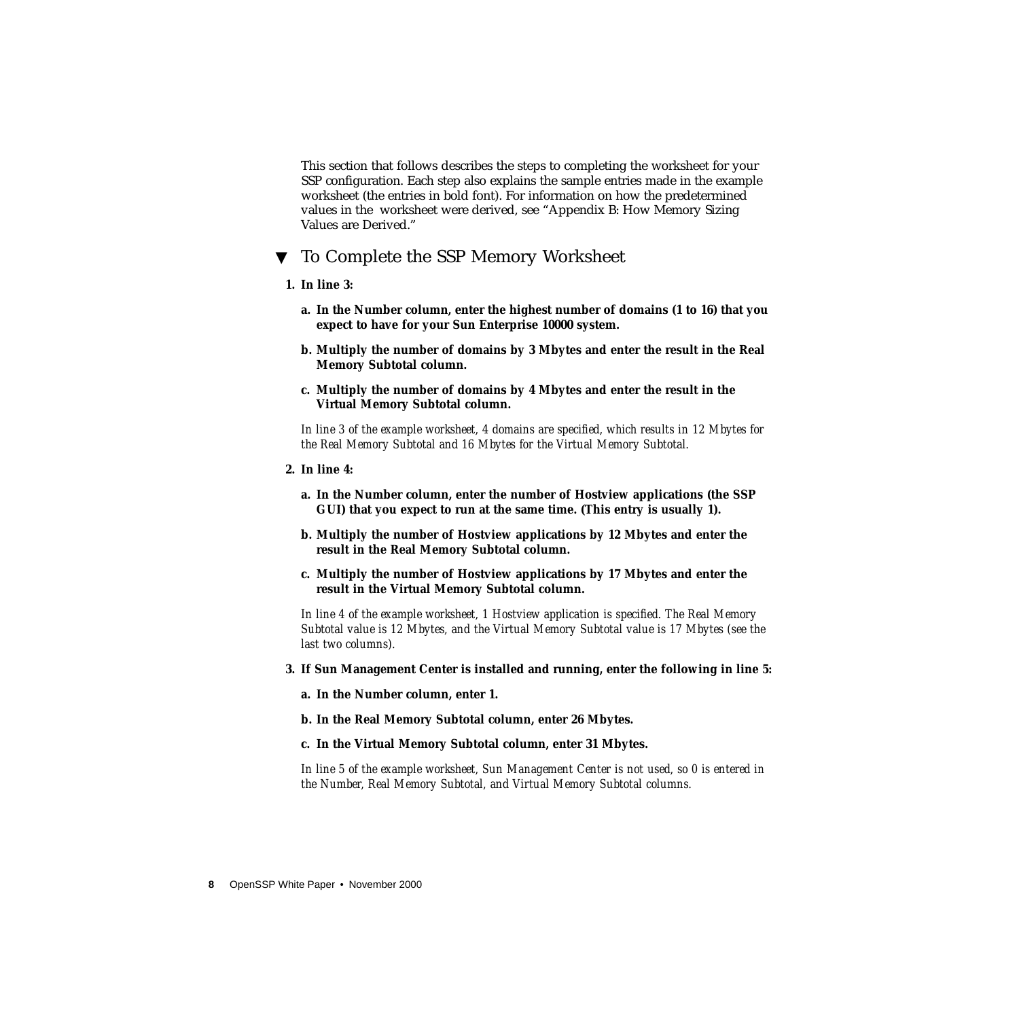This section that follows describes the steps to completing the worksheet for your SSP configuration. Each step also explains the sample entries made in the example worksheet (the entries in bold font). For information on how the predetermined values in the worksheet were derived, see "Appendix B: How Memory Sizing Values are Derived."

#### <span id="page-11-0"></span>▼ To Complete the SSP Memory Worksheet

- **1. In line 3:**
	- **a. In the Number column, enter the highest number of domains (1 to 16) that you expect to have for your Sun Enterprise 10000 system.**
	- **b. Multiply the number of domains by 3 Mbytes and enter the result in the Real Memory Subtotal column.**
	- **c. Multiply the number of domains by 4 Mbytes and enter the result in the Virtual Memory Subtotal column.**

*In line 3 of the example worksheet, 4 domains are specified, which results in 12 Mbytes for the Real Memory Subtotal and 16 Mbytes for the Virtual Memory Subtotal.*

- **2. In line 4:**
	- **a. In the Number column, enter the number of Hostview applications (the SSP GUI) that you expect to run at the same time. (This entry is usually 1).**
	- **b. Multiply the number of Hostview applications by 12 Mbytes and enter the result in the Real Memory Subtotal column.**
	- **c. Multiply the number of Hostview applications by 17 Mbytes and enter the result in the Virtual Memory Subtotal column.**

*In line 4 of the example worksheet, 1 Hostview application is specified. The Real Memory Subtotal value is 12 Mbytes, and the Virtual Memory Subtotal value is 17 Mbytes (see the last two columns).*

- **3. If Sun Management Center is installed and running, enter the following in line 5:**
	- **a. In the Number column, enter 1.**
	- **b. In the Real Memory Subtotal column, enter 26 Mbytes.**
	- **c. In the Virtual Memory Subtotal column, enter 31 Mbytes.**

*In line 5 of the example worksheet, Sun Management Center is not used, so 0 is entered in the Number, Real Memory Subtotal, and Virtual Memory Subtotal columns.*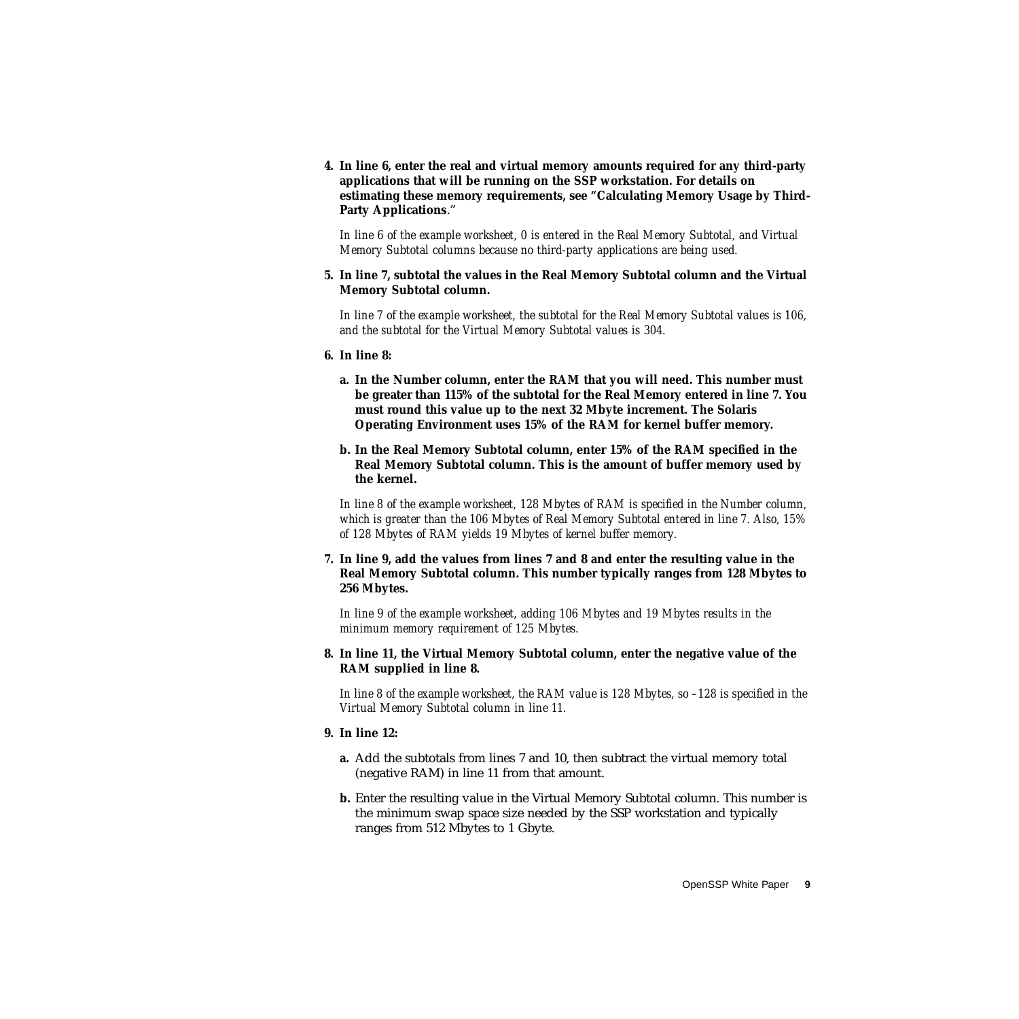**4. In line 6, enter the real and virtual memory amounts required for any third-party applications that will be running on the SSP workstation. For details on estimating these memory requirements, see "Calculating Memory Usage by Third-Party Applications**."

*In line 6 of the example worksheet, 0 is entered in the Real Memory Subtotal, and Virtual Memory Subtotal columns because no third-party applications are being used.*

**5. In line 7, subtotal the values in the Real Memory Subtotal column and the Virtual Memory Subtotal column.**

*In line 7 of the example worksheet, the subtotal for the Real Memory Subtotal values is 106, and the subtotal for the Virtual Memory Subtotal values is 304.*

- **6. In line 8:**
	- **a. In the Number column, enter the RAM that you will need. This number must be greater than 115% of the subtotal for the Real Memory entered in line 7. You must round this value up to the next 32 Mbyte increment. The Solaris Operating Environment uses 15% of the RAM for kernel buffer memory.**
	- **b. In the Real Memory Subtotal column, enter 15% of the RAM specified in the Real Memory Subtotal column. This is the amount of buffer memory used by the kernel.**

*In line 8 of the example worksheet, 128 Mbytes of RAM is specified in the Number column, which is greater than the 106 Mbytes of Real Memory Subtotal entered in line 7. Also, 15% of 128 Mbytes of RAM yields 19 Mbytes of kernel buffer memory.*

**7. In line 9, add the values from lines 7 and 8 and enter the resulting value in the Real Memory Subtotal column. This number typically ranges from 128 Mbytes to 256 Mbytes.**

*In line 9 of the example worksheet, adding 106 Mbytes and 19 Mbytes results in the minimum memory requirement of 125 Mbytes.*

**8. In line 11, the Virtual Memory Subtotal column, enter the negative value of the RAM supplied in line 8.**

*In line 8 of the example worksheet, the RAM value is 128 Mbytes, so –128 is specified in the Virtual Memory Subtotal column in line 11.*

- **9. In line 12:**
	- **a.** Add the subtotals from lines 7 and 10, then subtract the virtual memory total (negative RAM) in line 11 from that amount.
	- **b.** Enter the resulting value in the Virtual Memory Subtotal column. This number is the minimum swap space size needed by the SSP workstation and typically ranges from 512 Mbytes to 1 Gbyte.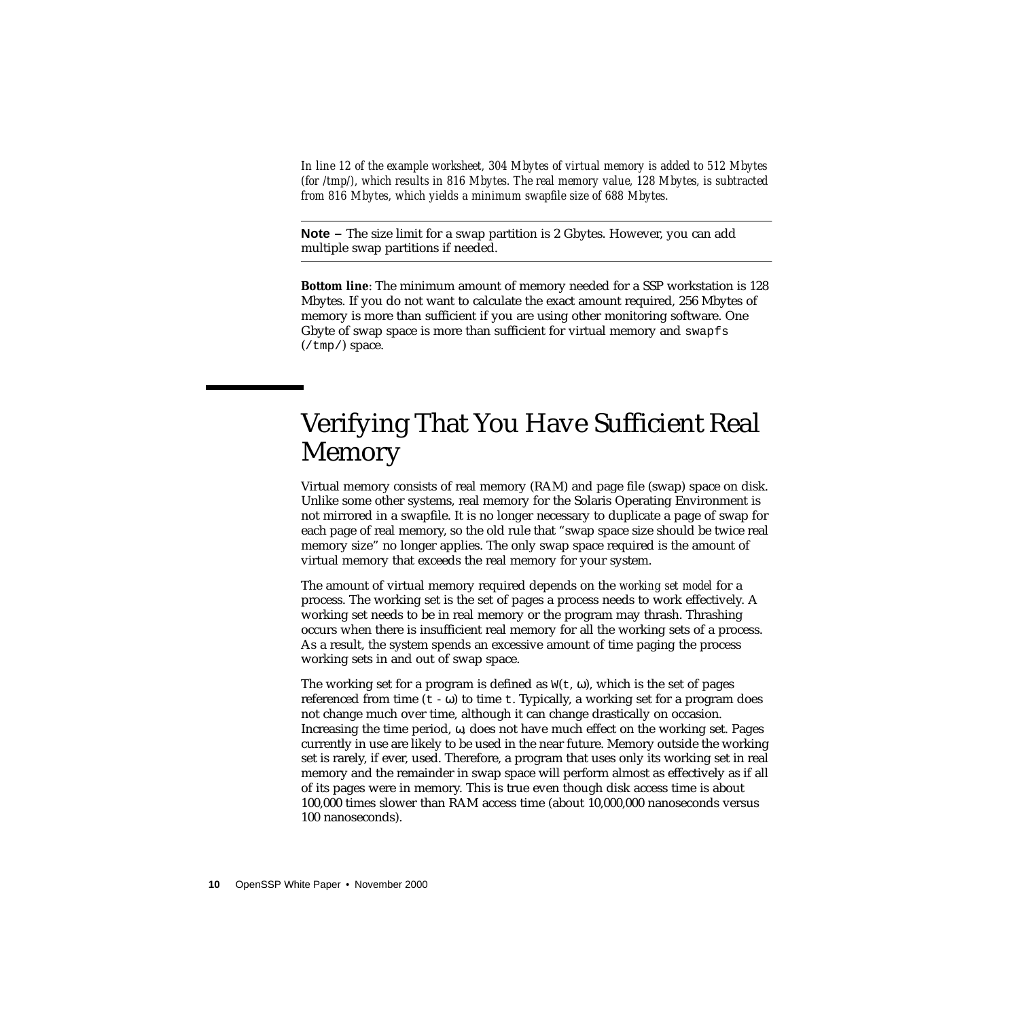*In line 12 of the example worksheet, 304 Mbytes of virtual memory is added to 512 Mbytes (for /tmp/), which results in 816 Mbytes. The real memory value, 128 Mbytes, is subtracted from 816 Mbytes, which yields a minimum swapfile size of 688 Mbytes.*

**Note** – The size limit for a swap partition is 2 Gbytes. However, you can add multiple swap partitions if needed.

**Bottom line**: The minimum amount of memory needed for a SSP workstation is 128 Mbytes. If you do not want to calculate the exact amount required, 256 Mbytes of memory is more than sufficient if you are using other monitoring software. One Gbyte of swap space is more than sufficient for virtual memory and swapfs  $(\text{tmp/})$  space.

## <span id="page-13-0"></span>Verifying That You Have Sufficient Real Memory

Virtual memory consists of real memory (RAM) and page file (swap) space on disk. Unlike some other systems, real memory for the Solaris Operating Environment is not mirrored in a swapfile. It is no longer necessary to duplicate a page of swap for each page of real memory, so the old rule that "swap space size should be twice real memory size" no longer applies. The only swap space required is the amount of virtual memory that exceeds the real memory for your system.

The amount of virtual memory required depends on the *working set model* for a process. The working set is the set of pages a process needs to work effectively. A working set needs to be in real memory or the program may thrash. Thrashing occurs when there is insufficient real memory for all the working sets of a process. As a result, the system spends an excessive amount of time paging the process working sets in and out of swap space.

The working set for a program is defined as  $W(t, \omega)$ , which is the set of pages referenced from time  $(t - \omega)$  to time t. Typically, a working set for a program does not change much over time, although it can change drastically on occasion. Increasing the time period,  $\omega$ , does not have much effect on the working set. Pages currently in use are likely to be used in the near future. Memory outside the working set is rarely, if ever, used. Therefore, a program that uses only its working set in real memory and the remainder in swap space will perform almost as effectively as if all of its pages were in memory. This is true even though disk access time is about 100,000 times slower than RAM access time (about 10,000,000 nanoseconds versus 100 nanoseconds).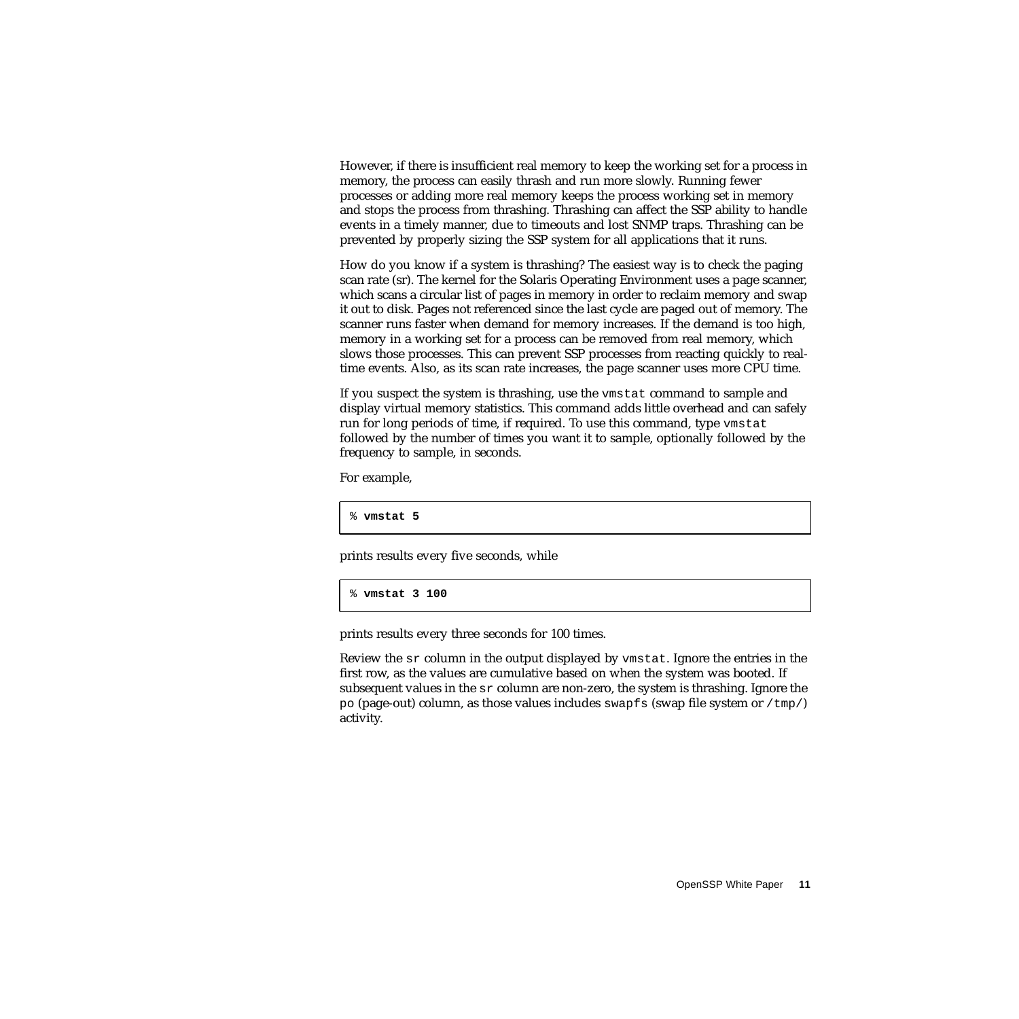However, if there is insufficient real memory to keep the working set for a process in memory, the process can easily thrash and run more slowly. Running fewer processes or adding more real memory keeps the process working set in memory and stops the process from thrashing. Thrashing can affect the SSP ability to handle events in a timely manner, due to timeouts and lost SNMP traps. Thrashing can be prevented by properly sizing the SSP system for all applications that it runs.

How do you know if a system is thrashing? The easiest way is to check the paging scan rate (sr). The kernel for the Solaris Operating Environment uses a page scanner, which scans a circular list of pages in memory in order to reclaim memory and swap it out to disk. Pages not referenced since the last cycle are paged out of memory. The scanner runs faster when demand for memory increases. If the demand is too high, memory in a working set for a process can be removed from real memory, which slows those processes. This can prevent SSP processes from reacting quickly to realtime events. Also, as its scan rate increases, the page scanner uses more CPU time.

If you suspect the system is thrashing, use the vmstat command to sample and display virtual memory statistics. This command adds little overhead and can safely run for long periods of time, if required. To use this command, type vmstat followed by the number of times you want it to sample, optionally followed by the frequency to sample, in seconds.

For example,

% **vmstat 5**

prints results every five seconds, while

% **vmstat 3 100**

prints results every three seconds for 100 times.

Review the sr column in the output displayed by vmstat. Ignore the entries in the first row, as the values are cumulative based on when the system was booted. If subsequent values in the sr column are non-zero, the system is thrashing. Ignore the po (page-out) column, as those values includes swapfs (swap file system or  $/\text{tmp}/$ ) activity.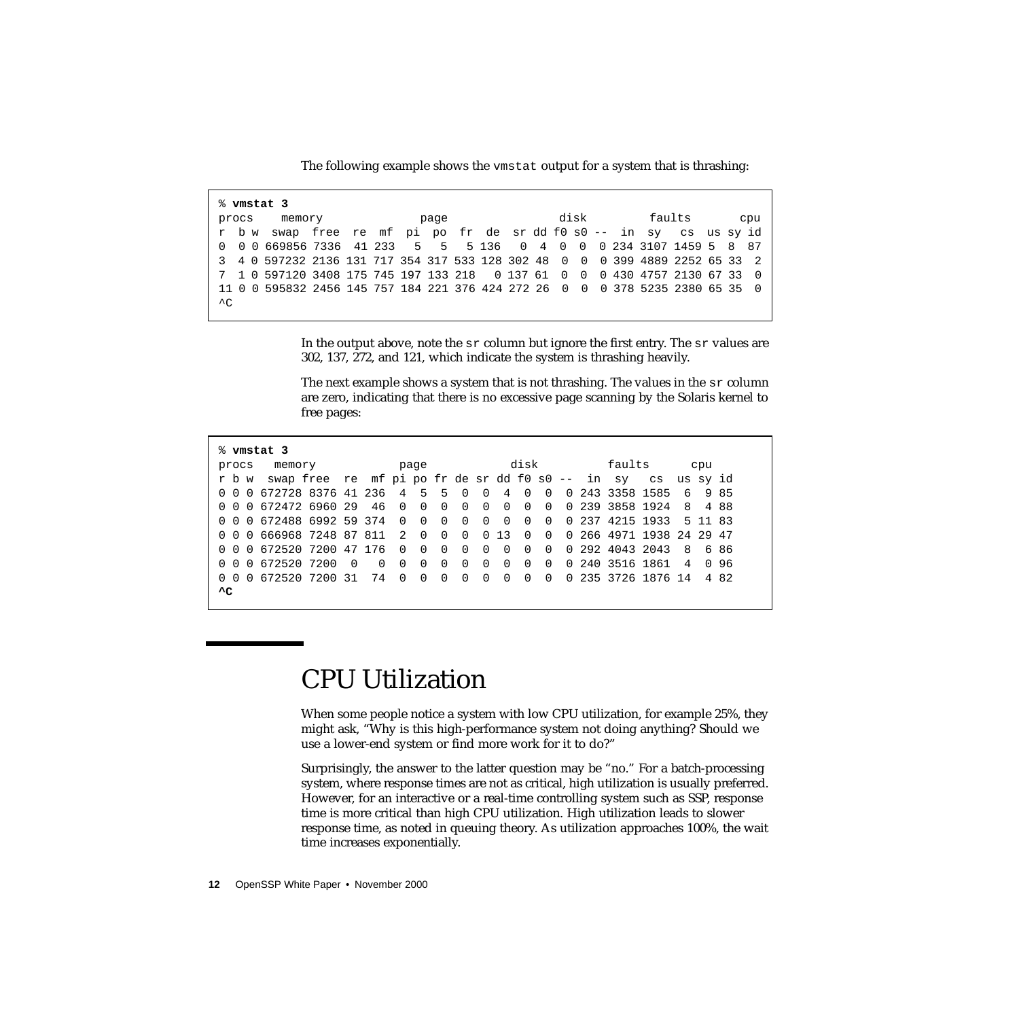The following example shows the vmstat output for a system that is thrashing:

| % vmstat 3                                                                                       |        |  |  |      |  |  |      |  |        |  |     |
|--------------------------------------------------------------------------------------------------|--------|--|--|------|--|--|------|--|--------|--|-----|
| procs                                                                                            | memory |  |  | page |  |  | disk |  | faults |  | cpu |
| r bw swap free re mf pi po fr de sr dd f0 s0 -- in sy cs us sy id                                |        |  |  |      |  |  |      |  |        |  |     |
| 0 0 0 669856 7336 41 233 5 5 5 136 0 4 0 0 0 234 3107 1459 5 8 87                                |        |  |  |      |  |  |      |  |        |  |     |
| 3 4 0 597232 2136 131 717 354 317 533 128 302 48 0 0 0 399 4889 2252 65 33 2                     |        |  |  |      |  |  |      |  |        |  |     |
| 7  1  0  597120  3408  175  745  197  133  218   0  137  61   0   0  430  4757  2130  67  33   0 |        |  |  |      |  |  |      |  |        |  |     |
| 11 0 0 595832 2456 145 757 184 221 376 424 272 26 0 0 0 378 5235 2380 65 35 0                    |        |  |  |      |  |  |      |  |        |  |     |
| $\wedge$ C                                                                                       |        |  |  |      |  |  |      |  |        |  |     |

In the output above, note the  $sr$  column but ignore the first entry. The  $sr$  values are 302, 137, 272, and 121, which indicate the system is thrashing heavily.

The next example shows a system that is not thrashing. The values in the  $sr$  column are zero, indicating that there is no excessive page scanning by the Solaris kernel to free pages:

| % vmstat 3 |                                                                    |            |          |                |            |          |                                                                |          |                |                |                |  |        |                          |         |  |
|------------|--------------------------------------------------------------------|------------|----------|----------------|------------|----------|----------------------------------------------------------------|----------|----------------|----------------|----------------|--|--------|--------------------------|---------|--|
| procs      | memory                                                             |            |          |                | page       |          |                                                                |          |                | disk           |                |  | faults |                          | cpu     |  |
|            | r b w swap free re mf pi po fr de sr dd f0 s0 -- in sy cs us sy id |            |          |                |            |          |                                                                |          |                |                |                |  |        |                          |         |  |
|            | 0 0 0 672728 8376 41 236 4 5 5 0 0 4 0                             |            |          |                |            |          |                                                                |          |                |                | $\overline{0}$ |  |        | 0 243 3358 1585 6 9 85   |         |  |
|            | 0 0 0 672472 6960 29 46 0 0 0 0 0 0                                |            |          |                |            |          |                                                                |          | $\overline{0}$ | $\bigcap$      | $\overline{0}$ |  |        | 0 239 3858 1924          | 8488    |  |
|            | 0 0 0 672488 6992 59 374                                           |            |          |                |            |          |                                                                |          |                | $\bigcap$      | $\Omega$       |  |        | 0 237 4215 1933          | 5 11 83 |  |
|            | 0 0 0 666968 7248 87 811 2 0                                       |            |          |                |            |          | 0 0 0 1 3                                                      |          |                | $\overline{0}$ | $\overline{0}$ |  |        | 0 266 4971 1938 24 29 47 |         |  |
|            | 0 0 0 672520 7200 47 176 0 0                                       |            |          |                |            |          | $\begin{array}{ccccccccccccc}\n0 & 0 & 0 & 0 & 0\n\end{array}$ |          |                | $\bigcap$      | $\overline{0}$ |  |        | 0 292 4043 2043          | 8686    |  |
|            | 0 0 0 672520 7200                                                  | $\bigcirc$ | $\Omega$ | $\overline{0}$ | $\Omega$   | $\Omega$ | $\Omega$                                                       | $\Omega$ | - 0            | $\cap$         | $\cap$         |  |        | 0 240 3516 1861          | 4 0 9 6 |  |
|            | 0 0 0 672520 7200 31 74                                            |            |          |                | $0\quad 0$ | $\Omega$ | $\begin{matrix} 0 & 0 \end{matrix}$                            |          | $\overline{0}$ | $\bigcap$      | $\cap$         |  |        | 0 235 3726 1876 14 4 82  |         |  |
| AC         |                                                                    |            |          |                |            |          |                                                                |          |                |                |                |  |        |                          |         |  |

## <span id="page-15-0"></span>CPU Utilization

When some people notice a system with low CPU utilization, for example 25%, they might ask, "Why is this high-performance system not doing anything? Should we use a lower-end system or find more work for it to do?"

Surprisingly, the answer to the latter question may be "no." For a batch-processing system, where response times are not as critical, high utilization is usually preferred. However, for an interactive or a real-time controlling system such as SSP, response time is more critical than high CPU utilization. High utilization leads to slower response time, as noted in queuing theory. As utilization approaches 100%, the wait time increases exponentially.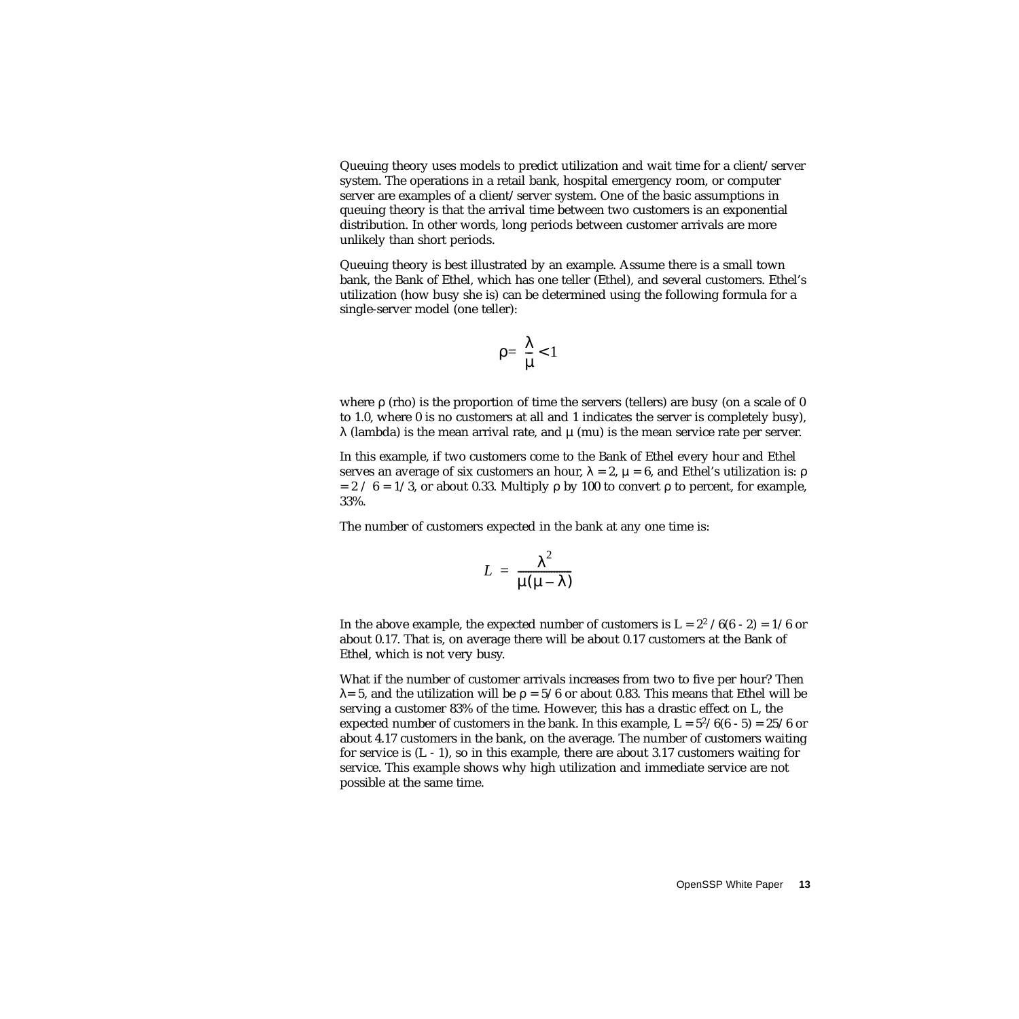Queuing theory uses models to predict utilization and wait time for a client/server system. The operations in a retail bank, hospital emergency room, or computer server are examples of a client/server system. One of the basic assumptions in queuing theory is that the arrival time between two customers is an exponential distribution. In other words, long periods between customer arrivals are more unlikely than short periods.

Queuing theory is best illustrated by an example. Assume there is a small town bank, the Bank of Ethel, which has one teller (Ethel), and several customers. Ethel's utilization (how busy she is) can be determined using the following formula for a single-server model (one teller):

$$
\rho = \frac{\lambda}{\mu} < 1
$$

where  $\rho$  (rho) is the proportion of time the servers (tellers) are busy (on a scale of 0 to 1.0, where 0 is no customers at all and 1 indicates the server is completely busy),  $λ$  (lambda) is the mean arrival rate, and  $μ$  (mu) is the mean service rate per server.

In this example, if two customers come to the Bank of Ethel every hour and Ethel serves an average of six customers an hour,  $\lambda = 2$ ,  $\mu = 6$ , and Ethel's utilization is: ρ  $= 2 / 6 = 1/3$ , or about 0.33. Multiply ρ by 100 to convert ρ to percent, for example, 33%.

The number of customers expected in the bank at any one time is:

$$
L = \frac{\lambda^2}{\mu(\mu - \lambda)}
$$

In the above example, the expected number of customers is  $L = 2^2 / 6(6 - 2) = 1/6$  or about 0.17. That is, on average there will be about 0.17 customers at the Bank of Ethel, which is not very busy.

What if the number of customer arrivals increases from two to five per hour? Then  $λ= 5$ , and the utilization will be  $ρ = 5/6$  or about 0.83. This means that Ethel will be serving a customer 83% of the time. However, this has a drastic effect on L, the expected number of customers in the bank. In this example,  $L = 5^2/6(6 - 5) = 25/6$  or about 4.17 customers in the bank, on the average. The number of customers waiting for service is  $(L - 1)$ , so in this example, there are about 3.17 customers waiting for service. This example shows why high utilization and immediate service are not possible at the same time.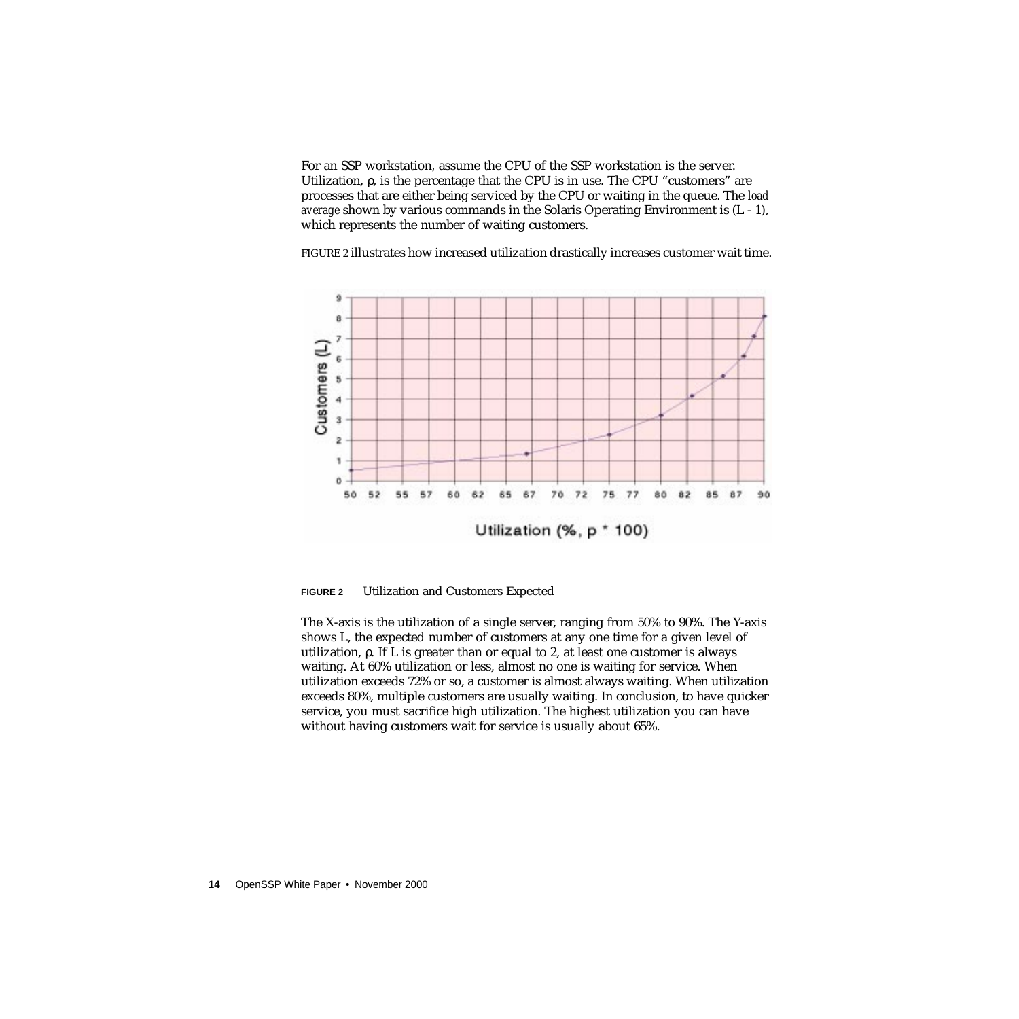For an SSP workstation, assume the CPU of the SSP workstation is the server. Utilization,  $\rho$ , is the percentage that the CPU is in use. The CPU "customers" are processes that are either being serviced by the CPU or waiting in the queue. The *load average* shown by various commands in the Solaris Operating Environment is (L - 1), which represents the number of waiting customers.

[FIGURE 2](#page-17-0) illustrates how increased utilization drastically increases customer wait time.



<span id="page-17-0"></span>**FIGURE 2** Utilization and Customers Expected

The X-axis is the utilization of a single server, ranging from 50% to 90%. The Y-axis shows L, the expected number of customers at any one time for a given level of utilization, ρ. If L is greater than or equal to 2, at least one customer is always waiting. At 60% utilization or less, almost no one is waiting for service. When utilization exceeds 72% or so, a customer is almost always waiting. When utilization exceeds 80%, multiple customers are usually waiting. In conclusion, to have quicker service, you must sacrifice high utilization. The highest utilization you can have without having customers wait for service is usually about 65%.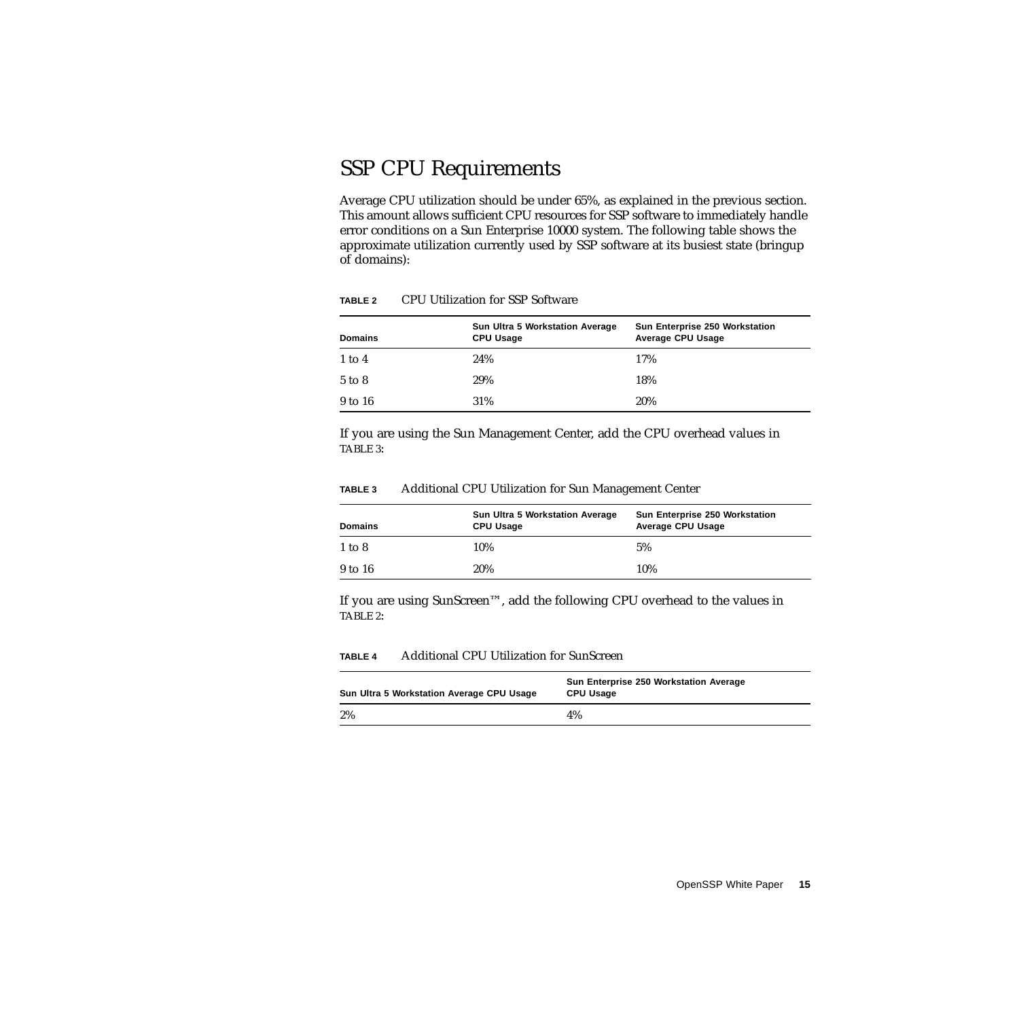#### <span id="page-18-0"></span>SSP CPU Requirements

Average CPU utilization should be under 65%, as explained in the previous section. This amount allows sufficient CPU resources for SSP software to immediately handle error conditions on a Sun Enterprise 10000 system. The following table shows the approximate utilization currently used by SSP software at its busiest state (bringup of domains):

| <b>Domains</b> | Sun Ultra 5 Workstation Average<br><b>CPU Usage</b> | Sun Enterprise 250 Workstation<br>Average CPU Usage |  |  |  |  |
|----------------|-----------------------------------------------------|-----------------------------------------------------|--|--|--|--|
| $1$ to $4$     | 24%                                                 | 17%                                                 |  |  |  |  |
| 5 to 8         | 29%                                                 | 18%                                                 |  |  |  |  |
| 9 to 16        | 31%                                                 | 20%                                                 |  |  |  |  |

#### <span id="page-18-2"></span>**TABLE 2** CPU Utilization for SSP Software

If you are using the Sun Management Center, add the CPU overhead values in [TABLE 3:](#page-18-1)

| TABLE 3 |  |  |  |  |  | Additional CPU Utilization for Sun Management Center |  |
|---------|--|--|--|--|--|------------------------------------------------------|--|
|---------|--|--|--|--|--|------------------------------------------------------|--|

<span id="page-18-1"></span>

| <b>Domains</b> | Sun Ultra 5 Workstation Average<br><b>CPU Usage</b> | Sun Enterprise 250 Workstation<br>Average CPU Usage |
|----------------|-----------------------------------------------------|-----------------------------------------------------|
| $1$ to $8$     | 10%                                                 | 5%                                                  |
| 9 to 16        | 20%                                                 | 10%                                                 |

If you are using SunScreen™, add the following CPU overhead to the values in [TABLE 2:](#page-18-2)

| Sun Ultra 5 Workstation Average CPU Usage | Sun Enterprise 250 Workstation Average<br><b>CPU Usage</b> |
|-------------------------------------------|------------------------------------------------------------|
| 2%                                        | 4%                                                         |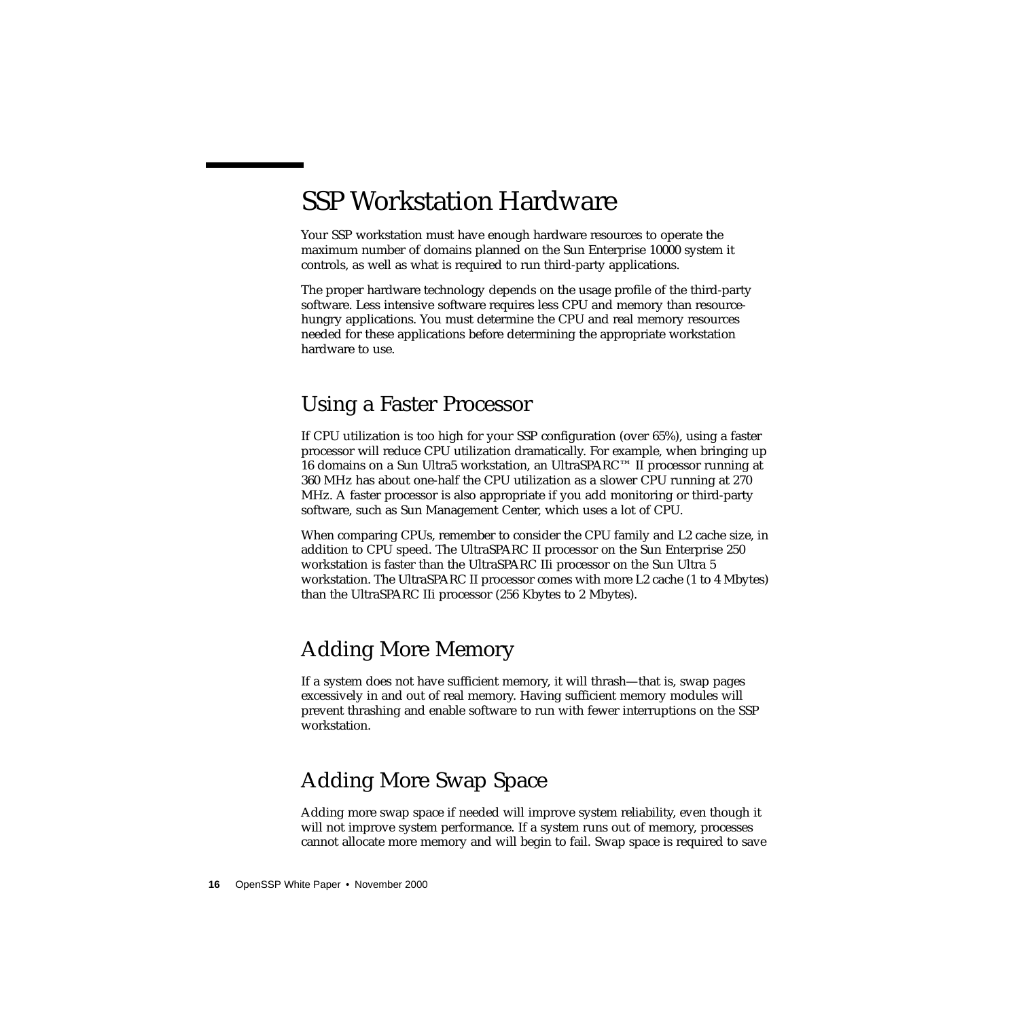## <span id="page-19-0"></span>SSP Workstation Hardware

Your SSP workstation must have enough hardware resources to operate the maximum number of domains planned on the Sun Enterprise 10000 system it controls, as well as what is required to run third-party applications.

The proper hardware technology depends on the usage profile of the third-party software. Less intensive software requires less CPU and memory than resourcehungry applications. You must determine the CPU and real memory resources needed for these applications before determining the appropriate workstation hardware to use.

### <span id="page-19-1"></span>Using a Faster Processor

If CPU utilization is too high for your SSP configuration (over 65%), using a faster processor will reduce CPU utilization dramatically. For example, when bringing up 16 domains on a Sun Ultra5 workstation, an UltraSPARC™ II processor running at 360 MHz has about one-half the CPU utilization as a slower CPU running at 270 MHz. A faster processor is also appropriate if you add monitoring or third-party software, such as Sun Management Center, which uses a lot of CPU.

When comparing CPUs, remember to consider the CPU family and L2 cache size, in addition to CPU speed. The UltraSPARC II processor on the Sun Enterprise 250 workstation is faster than the UltraSPARC IIi processor on the Sun Ultra 5 workstation. The UltraSPARC II processor comes with more L2 cache (1 to 4 Mbytes) than the UltraSPARC IIi processor (256 Kbytes to 2 Mbytes).

## <span id="page-19-2"></span>Adding More Memory

If a system does not have sufficient memory, it will thrash—that is, swap pages excessively in and out of real memory. Having sufficient memory modules will prevent thrashing and enable software to run with fewer interruptions on the SSP workstation.

## <span id="page-19-3"></span>Adding More Swap Space

Adding more swap space if needed will improve system reliability, even though it will not improve system performance. If a system runs out of memory, processes cannot allocate more memory and will begin to fail. Swap space is required to save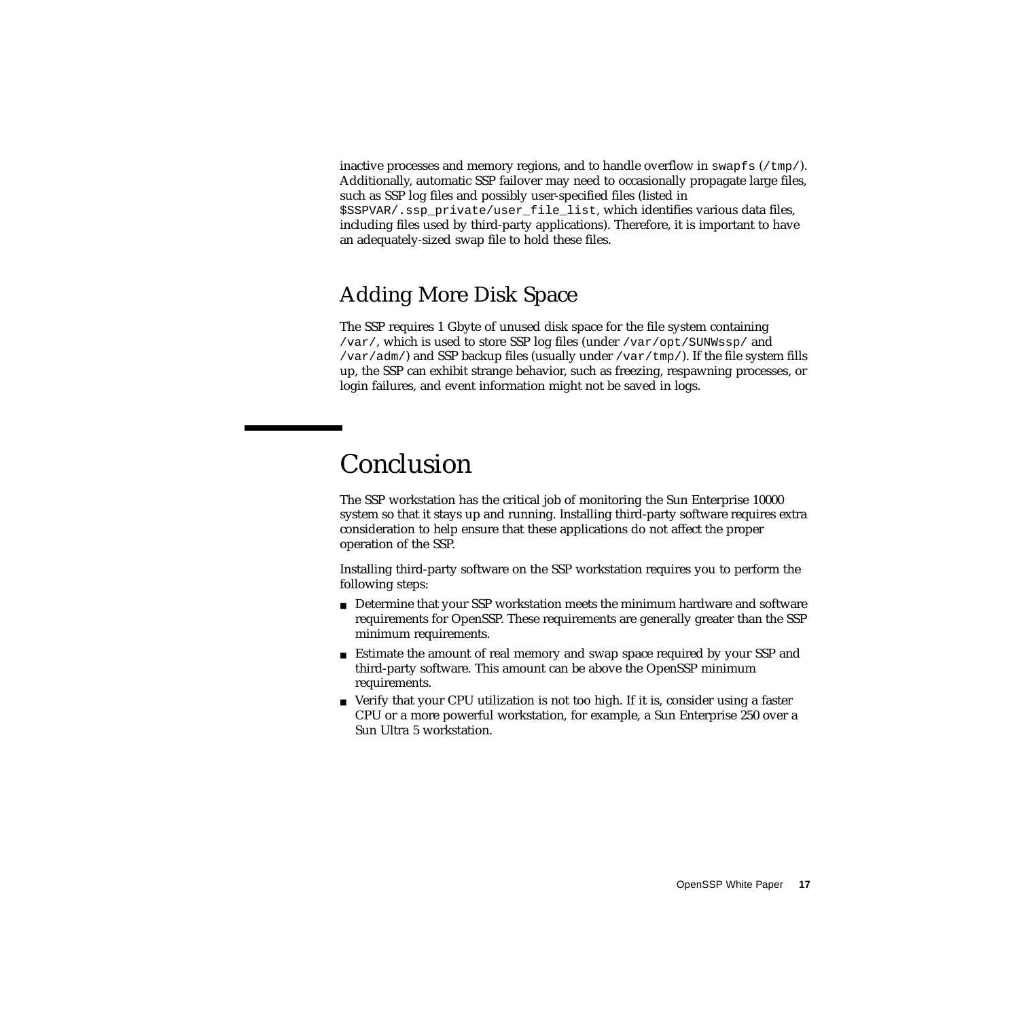inactive processes and memory regions, and to handle overflow in swapfs  $(\text{/tmp/}).$ Additionally, automatic SSP failover may need to occasionally propagate large files, such as SSP log files and possibly user-specified files (listed in \$SSPVAR/.ssp\_private/user\_file\_list, which identifies various data files, including files used by third-party applications). Therefore, it is important to have an adequately-sized swap file to hold these files.

#### <span id="page-20-0"></span>Adding More Disk Space

The SSP requires 1 Gbyte of unused disk space for the file system containing /var/, which is used to store SSP log files (under /var/opt/SUNWssp/ and /var/adm/) and SSP backup files (usually under /var/tmp/). If the file system fills up, the SSP can exhibit strange behavior, such as freezing, respawning processes, or login failures, and event information might not be saved in logs.

## <span id="page-20-1"></span>Conclusion

The SSP workstation has the critical job of monitoring the Sun Enterprise 10000 system so that it stays up and running. Installing third-party software requires extra consideration to help ensure that these applications do not affect the proper operation of the SSP.

Installing third-party software on the SSP workstation requires you to perform the following steps:

- Determine that your SSP workstation meets the minimum hardware and software requirements for OpenSSP. These requirements are generally greater than the SSP minimum requirements.
- Estimate the amount of real memory and swap space required by your SSP and third-party software. This amount can be above the OpenSSP minimum requirements.
- Verify that your CPU utilization is not too high. If it is, consider using a faster CPU or a more powerful workstation, for example, a Sun Enterprise 250 over a Sun Ultra 5 workstation.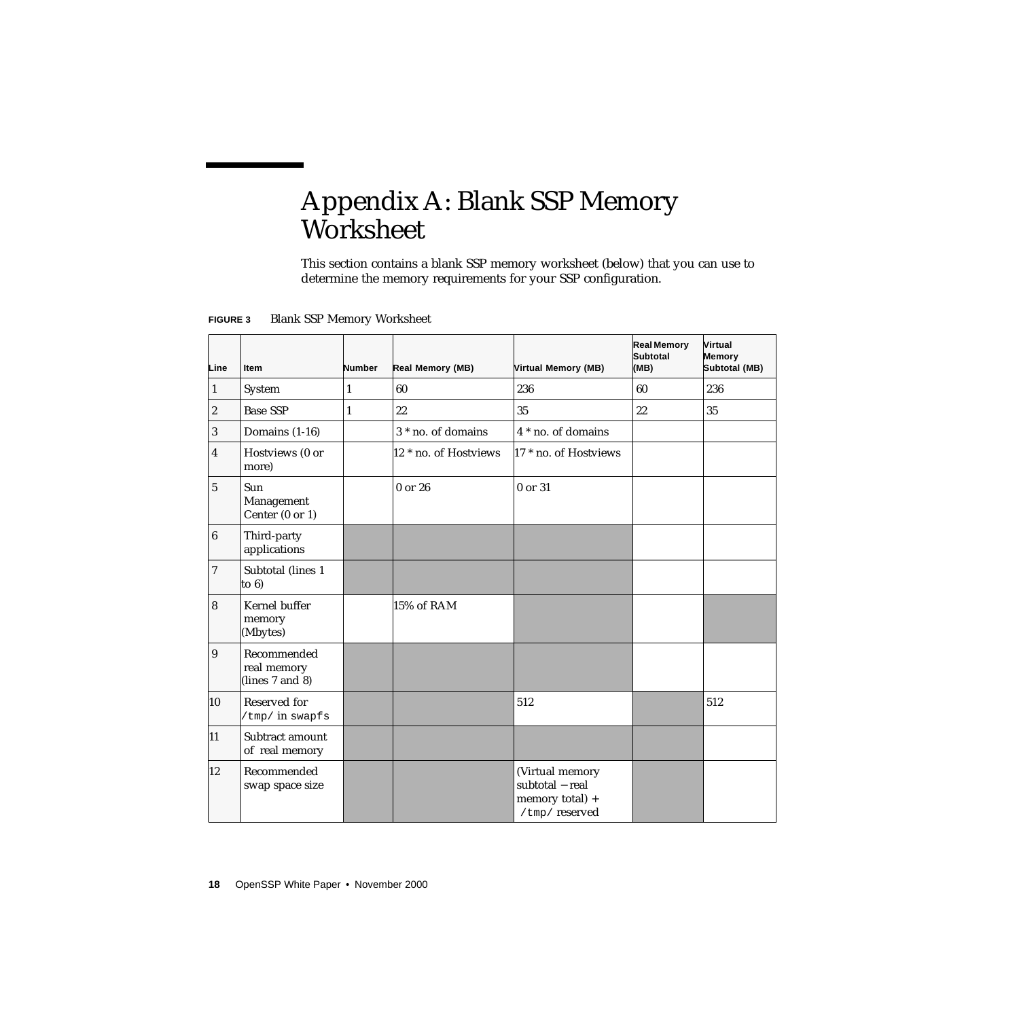## <span id="page-21-0"></span>Appendix A: Blank SSP Memory **Worksheet**

This section contains a blank SSP memory worksheet (below) that you can use to determine the memory requirements for your SSP configuration.

| Line         | <b>Item</b>                                     | <b>Number</b> | Real Memory (MB)      | Virtual Memory (MB)                                                    | <b>Real Memory</b><br>Subtotal<br>(MB) | <b>Virtual</b><br>Memory<br>Subtotal (MB) |
|--------------|-------------------------------------------------|---------------|-----------------------|------------------------------------------------------------------------|----------------------------------------|-------------------------------------------|
| $\vert$ 1    | System                                          | $\mathbf{1}$  | 60                    | 236                                                                    | 60                                     | 236                                       |
| $ 2\rangle$  | <b>Base SSP</b>                                 | $\mathbf{1}$  | 22                    | 35                                                                     | 22                                     | 35                                        |
| $\vert$ 3    | Domains (1-16)                                  |               | 3 * no. of domains    | 4 * no. of domains                                                     |                                        |                                           |
| 4            | Hostviews (0 or<br>more)                        |               | 12 * no. of Hostviews | 17 <sup>*</sup> no. of Hostviews                                       |                                        |                                           |
| 5            | Sun<br>Management<br>Center $(0 \text{ or } 1)$ |               | $0$ or $26$           | 0 or 31                                                                |                                        |                                           |
| 6            | Third-party<br>applications                     |               |                       |                                                                        |                                        |                                           |
| 7            | Subtotal (lines 1<br>to 6)                      |               |                       |                                                                        |                                        |                                           |
| 8            | Kernel buffer<br>memory<br>(Mbytes)             |               | 15% of RAM            |                                                                        |                                        |                                           |
| 9            | Recommended<br>real memory<br>(lines 7 and 8)   |               |                       |                                                                        |                                        |                                           |
| 10           | Reserved for<br>/tmp/ in swapfs                 |               |                       | 512                                                                    |                                        | 512                                       |
| 11           | Subtract amount<br>of real memory               |               |                       |                                                                        |                                        |                                           |
| $ 12\rangle$ | Recommended<br>swap space size                  |               |                       | (Virtual memory<br>subtotal - real<br>memory total) +<br>/tmp/reserved |                                        |                                           |

<span id="page-21-1"></span>**FIGURE 3** Blank SSP Memory Worksheet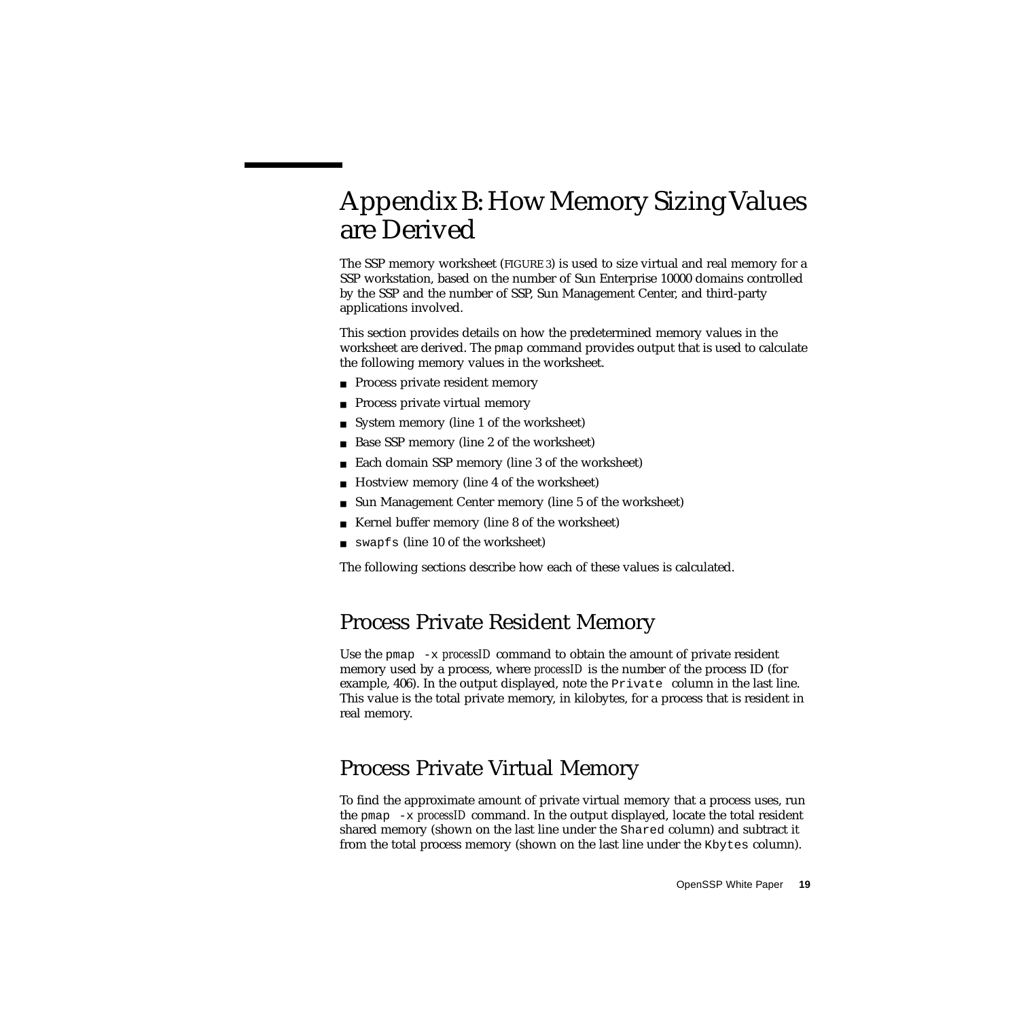## <span id="page-22-0"></span>Appendix B: How Memory Sizing Values are Derived

The SSP memory worksheet ([FIGURE 3](#page-21-1)) is used to size virtual and real memory for a SSP workstation, based on the number of Sun Enterprise 10000 domains controlled by the SSP and the number of SSP, Sun Management Center, and third-party applications involved.

This section provides details on how the predetermined memory values in the worksheet are derived. The pmap command provides output that is used to calculate the following memory values in the worksheet.

- Process private resident memory
- Process private virtual memory
- System memory (line 1 of the worksheet)
- Base SSP memory (line 2 of the worksheet)
- Each domain SSP memory (line 3 of the worksheet)
- Hostview memory (line 4 of the worksheet)
- Sun Management Center memory (line 5 of the worksheet)
- Kernel buffer memory (line 8 of the worksheet)
- swapfs (line 10 of the worksheet)

The following sections describe how each of these values is calculated.

#### <span id="page-22-1"></span>Process Private Resident Memory

Use the  $pmap -x$  *processID* command to obtain the amount of private resident memory used by a process, where *processID* is the number of the process ID (for example, 406). In the output displayed, note the Private column in the last line. This value is the total private memory, in kilobytes, for a process that is resident in real memory.

#### <span id="page-22-2"></span>Process Private Virtual Memory

To find the approximate amount of private virtual memory that a process uses, run the  $pmap -x$  *processID* command. In the output displayed, locate the total resident shared memory (shown on the last line under the Shared column) and subtract it from the total process memory (shown on the last line under the Kbytes column).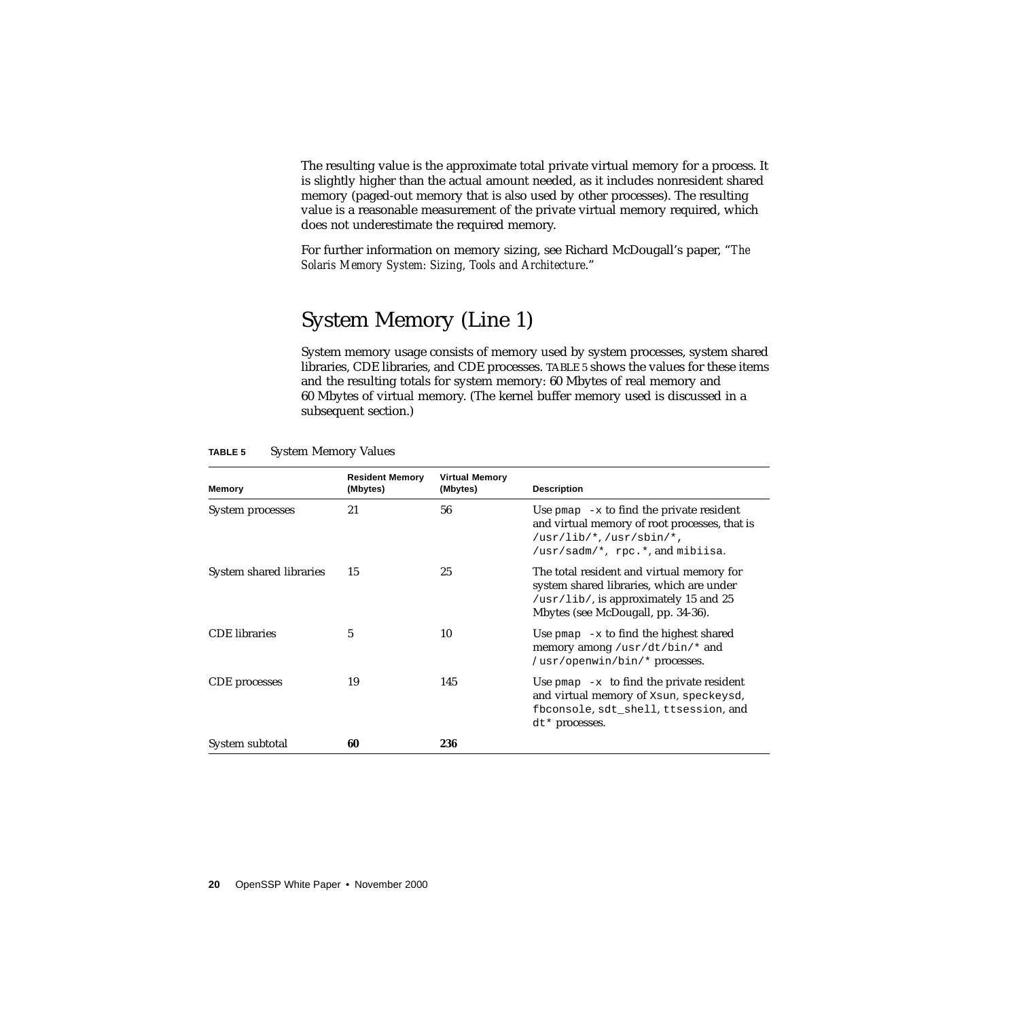The resulting value is the approximate total private virtual memory for a process. It is slightly higher than the actual amount needed, as it includes nonresident shared memory (paged-out memory that is also used by other processes). The resulting value is a reasonable measurement of the private virtual memory required, which does not underestimate the required memory.

For further information on memory sizing, see Richard McDougall's paper, "*The Solaris Memory System: Sizing, Tools and Architecture*."

#### <span id="page-23-0"></span>System Memory (Line 1)

System memory usage consists of memory used by system processes, system shared libraries, CDE libraries, and CDE processes. [TABLE 5](#page-23-1) shows the values for these items and the resulting totals for system memory: 60 Mbytes of real memory and 60 Mbytes of virtual memory. (The kernel buffer memory used is discussed in a subsequent section.)

| <b>Memory</b>           | <b>Resident Memory</b><br>(Mbytes) | <b>Virtual Memory</b><br>(Mbytes) | <b>Description</b>                                                                                                                                                   |
|-------------------------|------------------------------------|-----------------------------------|----------------------------------------------------------------------------------------------------------------------------------------------------------------------|
| System processes        | 21                                 | 56                                | Use $pmap -x$ to find the private resident<br>and virtual memory of root processes, that is<br>/usr/lib/*, /usr/sbin/*,<br>/usr/sadm/*, $rpc.*$ , and mibiisa.       |
| System shared libraries | 15                                 | 25                                | The total resident and virtual memory for<br>system shared libraries, which are under<br>/usr/lib/, is approximately 15 and 25<br>Mbytes (see McDougall, pp. 34-36). |
| <b>CDE</b> libraries    | 5                                  | 10                                | Use $pmap -x$ to find the highest shared<br>memory among /usr/dt/bin/ $*$ and<br>/usr/openwin/bin/* processes.                                                       |
| CDE processes           | 19                                 | 145                               | Use $pmap -x$ to find the private resident<br>and virtual memory of Xsun, speckeysd,<br>fbconsole, sdt_shell, ttsession, and<br>dt* processes.                       |
| System subtotal         | 60                                 | 236                               |                                                                                                                                                                      |

#### <span id="page-23-1"></span>**TABLE 5** System Memory Values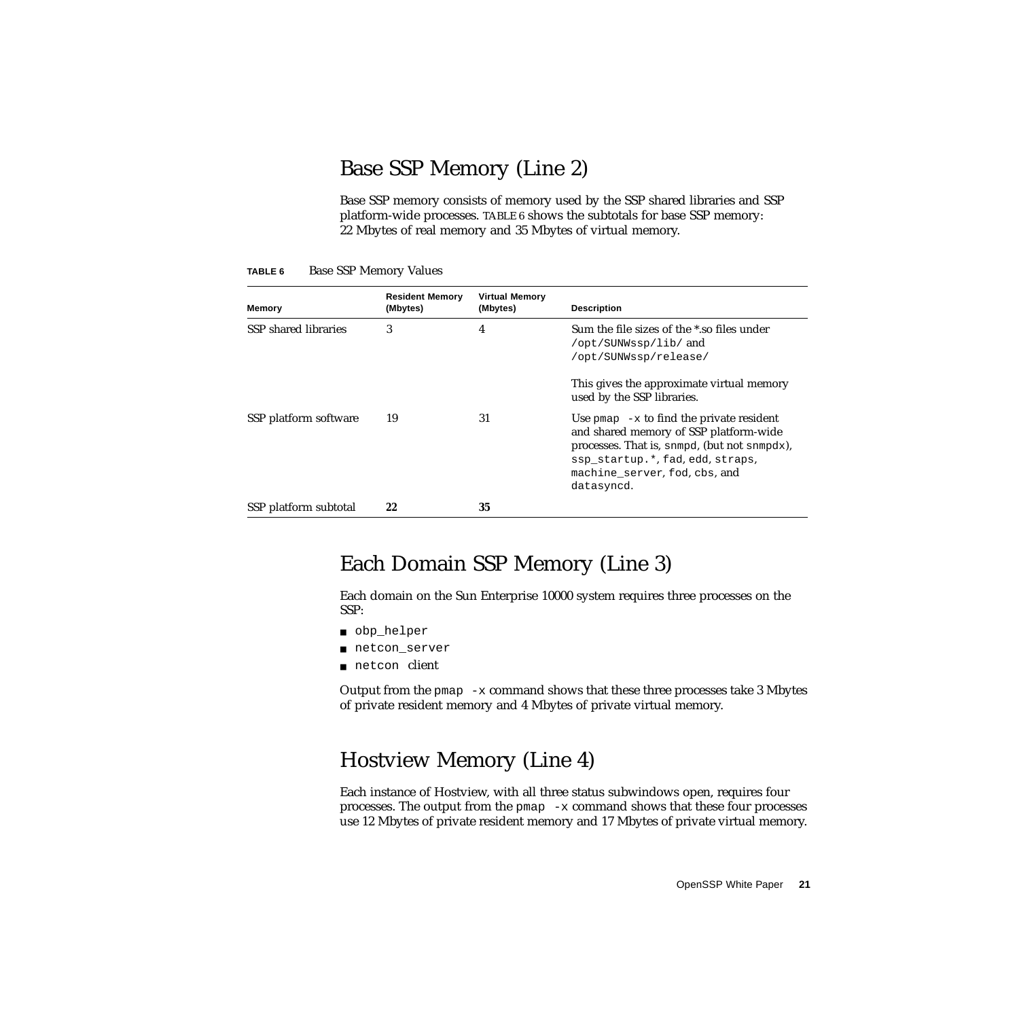### <span id="page-24-0"></span>Base SSP Memory (Line 2)

Base SSP memory consists of memory used by the SSP shared libraries and SSP platform-wide processes. [TABLE 6](#page-24-3) shows the subtotals for base SSP memory: 22 Mbytes of real memory and 35 Mbytes of virtual memory.

| Memory                | <b>Resident Memory</b><br>(Mbytes) | <b>Virtual Memory</b><br>(Mbytes) | <b>Description</b>                                                                                                                                                                                                      |
|-----------------------|------------------------------------|-----------------------------------|-------------------------------------------------------------------------------------------------------------------------------------------------------------------------------------------------------------------------|
| SSP shared libraries  | 3                                  | 4                                 | Sum the file sizes of the *.so files under<br>/opt/SUNWssp/lib/and<br>/opt/SUNWssp/release/                                                                                                                             |
|                       |                                    |                                   | This gives the approximate virtual memory<br>used by the SSP libraries.                                                                                                                                                 |
| SSP platform software | 19                                 | 31                                | Use $pmap -x$ to find the private resident<br>and shared memory of SSP platform-wide<br>processes. That is, snmpd, (but not snmpdx),<br>ssp_startup.*, fad, edd, straps,<br>machine server, fod, cbs, and<br>datasyncd. |
| SSP platform subtotal | 22                                 | 35                                |                                                                                                                                                                                                                         |

<span id="page-24-3"></span>**TABLE 6** Base SSP Memory Values

#### <span id="page-24-1"></span>Each Domain SSP Memory (Line 3)

Each domain on the Sun Enterprise 10000 system requires three processes on the SSP:

- obp\_helper
- netcon server
- netcon client

Output from the  $pmap -x$  command shows that these three processes take 3 Mbytes of private resident memory and 4 Mbytes of private virtual memory.

#### <span id="page-24-2"></span>Hostview Memory (Line 4)

Each instance of Hostview, with all three status subwindows open, requires four processes. The output from the  $pmap -x$  command shows that these four processes use 12 Mbytes of private resident memory and 17 Mbytes of private virtual memory.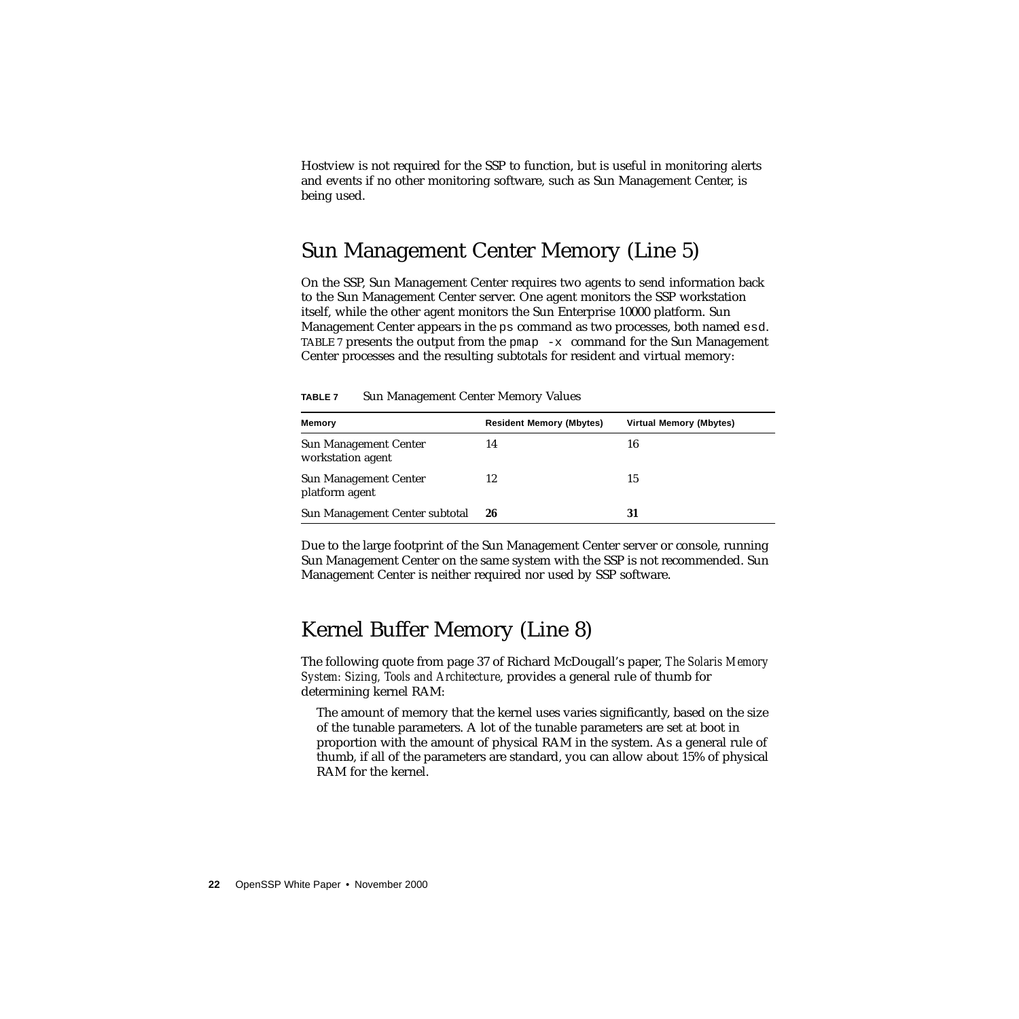Hostview is not required for the SSP to function, but is useful in monitoring alerts and events if no other monitoring software, such as Sun Management Center, is being used.

### <span id="page-25-0"></span>Sun Management Center Memory (Line 5)

On the SSP, Sun Management Center requires two agents to send information back to the Sun Management Center server. One agent monitors the SSP workstation itself, while the other agent monitors the Sun Enterprise 10000 platform. Sun Management Center appears in the ps command as two processes, both named esd. [TABLE 7](#page-25-2) presents the output from the  $pmap -x$  command for the Sun Management Center processes and the resulting subtotals for resident and virtual memory:

| <b>Memory</b>                                     | <b>Resident Memory (Mbytes)</b> | Virtual Memory (Mbytes) |
|---------------------------------------------------|---------------------------------|-------------------------|
| <b>Sun Management Center</b><br>workstation agent | 14                              | 16                      |
| Sun Management Center<br>platform agent           | 12                              | 15                      |
| Sun Management Center subtotal                    | 26                              | 31                      |

<span id="page-25-2"></span>**TABLE 7** Sun Management Center Memory Values

Due to the large footprint of the Sun Management Center server or console, running Sun Management Center on the same system with the SSP is not recommended. Sun Management Center is neither required nor used by SSP software.

#### <span id="page-25-1"></span>Kernel Buffer Memory (Line 8)

The following quote from page 37 of Richard McDougall's paper, *The Solaris Memory System: Sizing, Tools and Architecture*, provides a general rule of thumb for determining kernel RAM:

The amount of memory that the kernel uses varies significantly, based on the size of the tunable parameters. A lot of the tunable parameters are set at boot in proportion with the amount of physical RAM in the system. As a general rule of thumb, if all of the parameters are standard, you can allow about 15% of physical RAM for the kernel.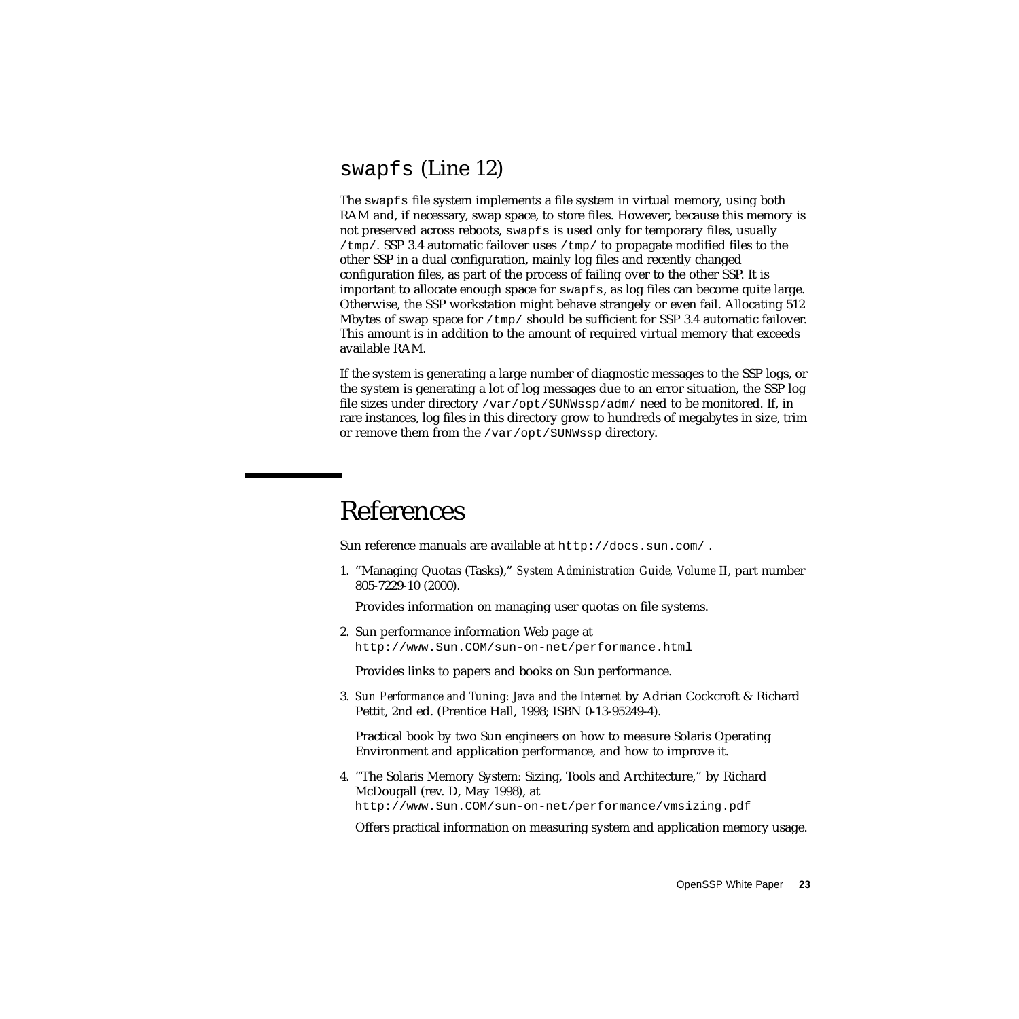#### <span id="page-26-0"></span>swapfs (Line 12)

The swapfs file system implements a file system in virtual memory, using both RAM and, if necessary, swap space, to store files. However, because this memory is not preserved across reboots, swapfs is used only for temporary files, usually /tmp/. SSP 3.4 automatic failover uses /tmp/ to propagate modified files to the other SSP in a dual configuration, mainly log files and recently changed configuration files, as part of the process of failing over to the other SSP. It is important to allocate enough space for swapfs, as log files can become quite large. Otherwise, the SSP workstation might behave strangely or even fail. Allocating 512 Mbytes of swap space for  $/\text{tmp}/$  should be sufficient for SSP 3.4 automatic failover. This amount is in addition to the amount of required virtual memory that exceeds available RAM.

If the system is generating a large number of diagnostic messages to the SSP logs, or the system is generating a lot of log messages due to an error situation, the SSP log file sizes under directory /var/opt/SUNWssp/adm/ need to be monitored. If, in rare instances, log files in this directory grow to hundreds of megabytes in size, trim or remove them from the /var/opt/SUNWssp directory.

## <span id="page-26-1"></span>References

Sun reference manuals are available at http://docs.sun.com/ .

1. "Managing Quotas (Tasks)," *System Administration Guide, Volume II*, part number 805-7229-10 (2000).

Provides information on managing user quotas on file systems.

2. Sun performance information Web page at http://www.Sun.COM/sun-on-net/performance.html

Provides links to papers and books on Sun performance.

3. *Sun Performance and Tuning: Java and the Internet* by Adrian Cockcroft & Richard Pettit, 2nd ed. (Prentice Hall, 1998; ISBN 0-13-95249-4).

Practical book by two Sun engineers on how to measure Solaris Operating Environment and application performance, and how to improve it.

4. "The Solaris Memory System: Sizing, Tools and Architecture," by Richard McDougall (rev. D, May 1998), at

http://www.Sun.COM/sun-on-net/performance/vmsizing.pdf

Offers practical information on measuring system and application memory usage.